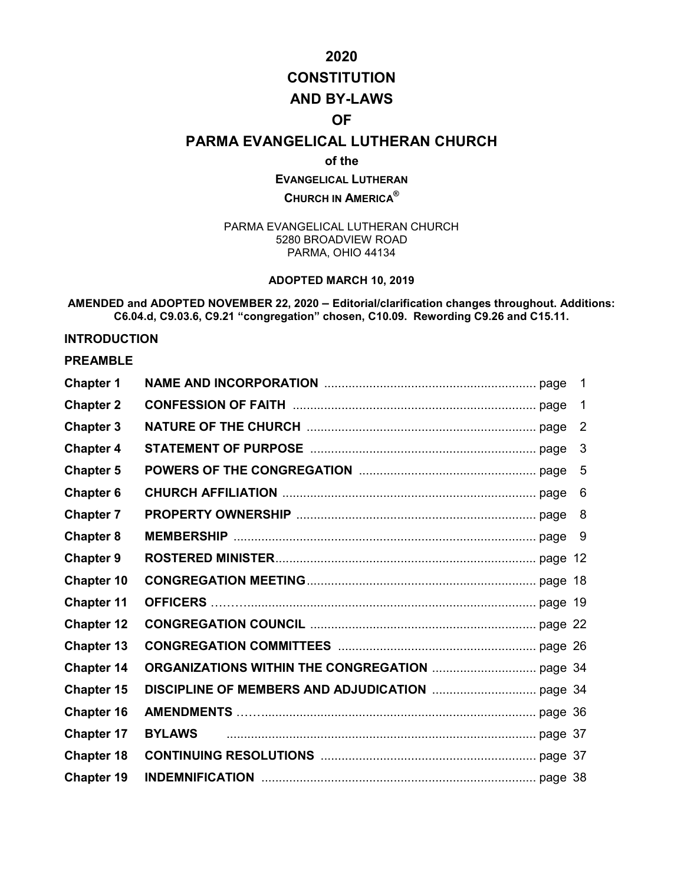# 2020

# **CONSTITUTION**

## AND BY-LAWS

## OF

## PARMA EVANGELICAL LUTHERAN CHURCH

## of the

## EVANGELICAL LUTHERAN

## CHURCH IN AMERICA®

#### PARMA EVANGELICAL LUTHERAN CHURCH 5280 BROADVIEW ROAD PARMA, OHIO 44134

#### ADOPTED MARCH 10, 2019

AMENDED and ADOPTED NOVEMBER 22, 2020 – Editorial/clarification changes throughout. Additions: C6.04.d, C9.03.6, C9.21 "congregation" chosen, C10.09. Rewording C9.26 and C15.11.

## **INTRODUCTION**

## PREAMBLE

| <b>Chapter 1</b>  |               | 1              |
|-------------------|---------------|----------------|
| <b>Chapter 2</b>  |               | -1             |
| <b>Chapter 3</b>  |               | $\overline{2}$ |
| <b>Chapter 4</b>  |               | 3              |
| <b>Chapter 5</b>  |               | 5              |
| <b>Chapter 6</b>  |               | 6              |
| <b>Chapter 7</b>  |               | 8              |
| <b>Chapter 8</b>  |               | - 9            |
| <b>Chapter 9</b>  |               |                |
| <b>Chapter 10</b> |               |                |
| <b>Chapter 11</b> |               |                |
| <b>Chapter 12</b> |               |                |
| <b>Chapter 13</b> |               |                |
| <b>Chapter 14</b> |               |                |
| <b>Chapter 15</b> |               |                |
| <b>Chapter 16</b> |               |                |
| <b>Chapter 17</b> | <b>BYLAWS</b> |                |
| <b>Chapter 18</b> |               |                |
| <b>Chapter 19</b> |               |                |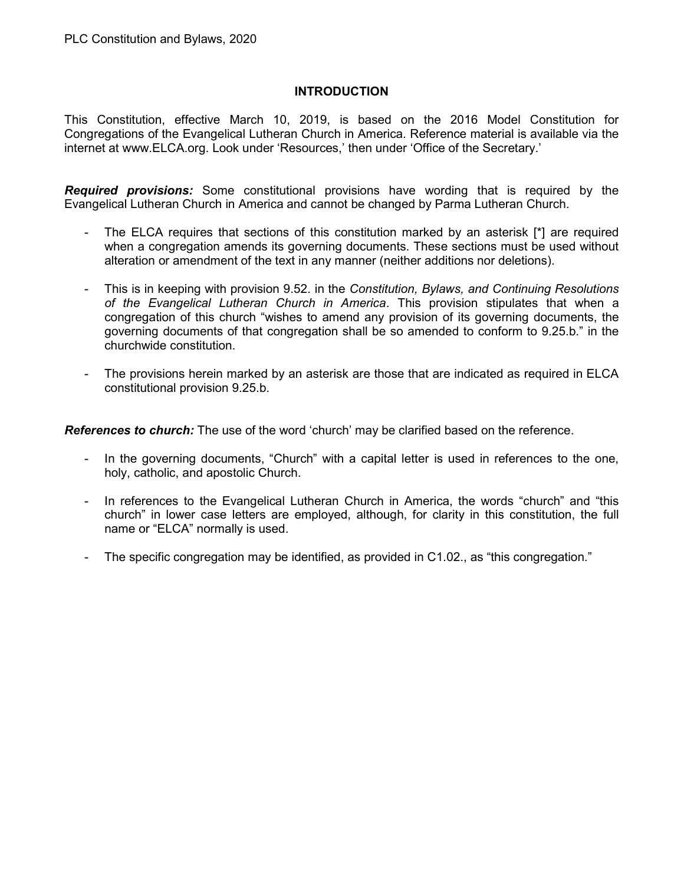## **INTRODUCTION**

This Constitution, effective March 10, 2019, is based on the 2016 Model Constitution for Congregations of the Evangelical Lutheran Church in America. Reference material is available via the internet at www.ELCA.org. Look under 'Resources,' then under 'Office of the Secretary.'

**Required provisions:** Some constitutional provisions have wording that is required by the Evangelical Lutheran Church in America and cannot be changed by Parma Lutheran Church.

- The ELCA requires that sections of this constitution marked by an asterisk  $[{}^*]$  are required when a congregation amends its governing documents. These sections must be used without alteration or amendment of the text in any manner (neither additions nor deletions).
- This is in keeping with provision 9.52, in the Constitution, Bylaws, and Continuing Resolutions of the Evangelical Lutheran Church in America. This provision stipulates that when a congregation of this church "wishes to amend any provision of its governing documents, the governing documents of that congregation shall be so amended to conform to 9.25.b." in the churchwide constitution.
- The provisions herein marked by an asterisk are those that are indicated as required in ELCA constitutional provision 9.25.b.

**References to church:** The use of the word 'church' may be clarified based on the reference.

- In the governing documents, "Church" with a capital letter is used in references to the one, holy, catholic, and apostolic Church.
- In references to the Evangelical Lutheran Church in America, the words "church" and "this church" in lower case letters are employed, although, for clarity in this constitution, the full name or "ELCA" normally is used.
- The specific congregation may be identified, as provided in C1.02., as "this congregation."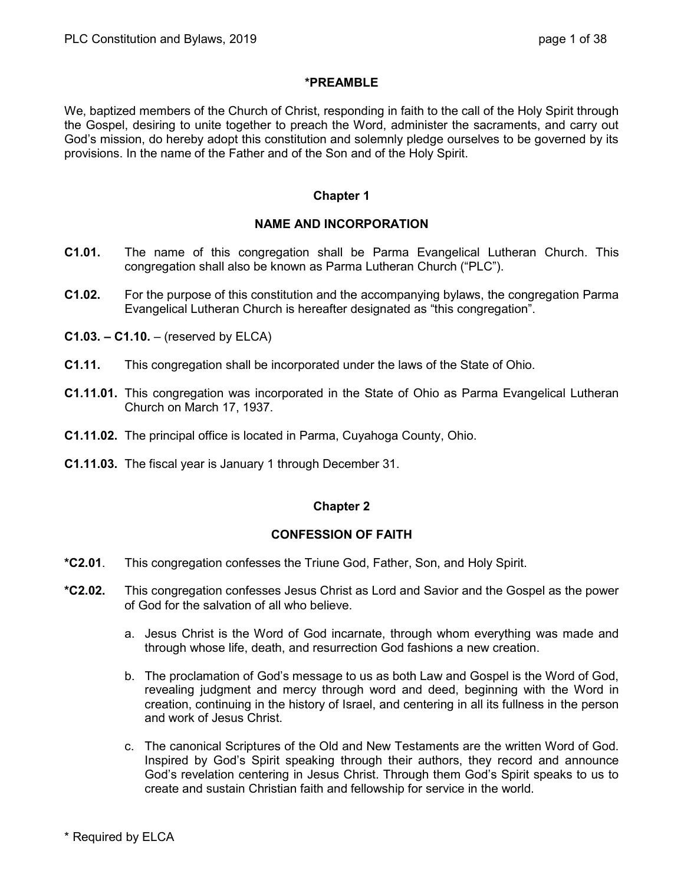## \*PREAMBLE

We, baptized members of the Church of Christ, responding in faith to the call of the Holy Spirit through the Gospel, desiring to unite together to preach the Word, administer the sacraments, and carry out God's mission, do hereby adopt this constitution and solemnly pledge ourselves to be governed by its provisions. In the name of the Father and of the Son and of the Holy Spirit.

## Chapter 1

## NAME AND INCORPORATION

- C1.01. The name of this congregation shall be Parma Evangelical Lutheran Church. This congregation shall also be known as Parma Lutheran Church ("PLC").
- C1.02. For the purpose of this constitution and the accompanying bylaws, the congregation Parma Evangelical Lutheran Church is hereafter designated as "this congregation".
- $C1.03. C1.10. -$  (reserved by ELCA)
- C1.11. This congregation shall be incorporated under the laws of the State of Ohio.
- C1.11.01. This congregation was incorporated in the State of Ohio as Parma Evangelical Lutheran Church on March 17, 1937.
- C1.11.02. The principal office is located in Parma, Cuyahoga County, Ohio.
- C1.11.03. The fiscal year is January 1 through December 31.

## Chapter 2

## CONFESSION OF FAITH

- \*C2.01. This congregation confesses the Triune God, Father, Son, and Holy Spirit.
- \*C2.02. This congregation confesses Jesus Christ as Lord and Savior and the Gospel as the power of God for the salvation of all who believe.
	- a. Jesus Christ is the Word of God incarnate, through whom everything was made and through whose life, death, and resurrection God fashions a new creation.
	- b. The proclamation of God's message to us as both Law and Gospel is the Word of God, revealing judgment and mercy through word and deed, beginning with the Word in creation, continuing in the history of Israel, and centering in all its fullness in the person and work of Jesus Christ.
	- c. The canonical Scriptures of the Old and New Testaments are the written Word of God. Inspired by God's Spirit speaking through their authors, they record and announce God's revelation centering in Jesus Christ. Through them God's Spirit speaks to us to create and sustain Christian faith and fellowship for service in the world.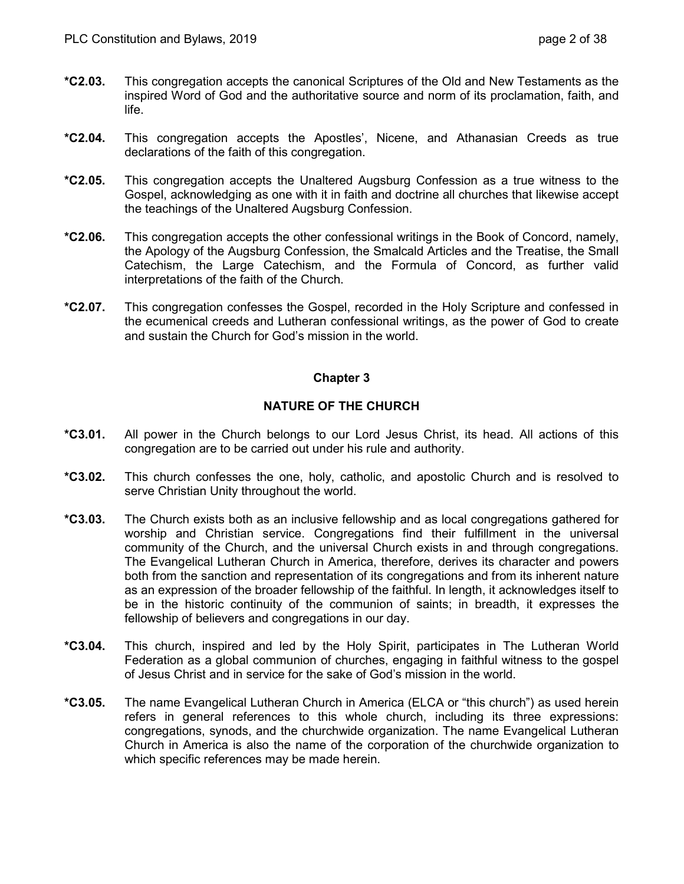- \*C2.03. This congregation accepts the canonical Scriptures of the Old and New Testaments as the inspired Word of God and the authoritative source and norm of its proclamation, faith, and life.
- \*C2.04. This congregation accepts the Apostles', Nicene, and Athanasian Creeds as true declarations of the faith of this congregation.
- \*C2.05. This congregation accepts the Unaltered Augsburg Confession as a true witness to the Gospel, acknowledging as one with it in faith and doctrine all churches that likewise accept the teachings of the Unaltered Augsburg Confession.
- \*C2.06. This congregation accepts the other confessional writings in the Book of Concord, namely, the Apology of the Augsburg Confession, the Smalcald Articles and the Treatise, the Small Catechism, the Large Catechism, and the Formula of Concord, as further valid interpretations of the faith of the Church.
- \*C2.07. This congregation confesses the Gospel, recorded in the Holy Scripture and confessed in the ecumenical creeds and Lutheran confessional writings, as the power of God to create and sustain the Church for God's mission in the world.

### NATURE OF THE CHURCH

- \*C3.01. All power in the Church belongs to our Lord Jesus Christ, its head. All actions of this congregation are to be carried out under his rule and authority.
- \*C3.02. This church confesses the one, holy, catholic, and apostolic Church and is resolved to serve Christian Unity throughout the world.
- \*C3.03. The Church exists both as an inclusive fellowship and as local congregations gathered for worship and Christian service. Congregations find their fulfillment in the universal community of the Church, and the universal Church exists in and through congregations. The Evangelical Lutheran Church in America, therefore, derives its character and powers both from the sanction and representation of its congregations and from its inherent nature as an expression of the broader fellowship of the faithful. In length, it acknowledges itself to be in the historic continuity of the communion of saints; in breadth, it expresses the fellowship of believers and congregations in our day.
- \*C3.04. This church, inspired and led by the Holy Spirit, participates in The Lutheran World Federation as a global communion of churches, engaging in faithful witness to the gospel of Jesus Christ and in service for the sake of God's mission in the world.
- \*C3.05. The name Evangelical Lutheran Church in America (ELCA or "this church") as used herein refers in general references to this whole church, including its three expressions: congregations, synods, and the churchwide organization. The name Evangelical Lutheran Church in America is also the name of the corporation of the churchwide organization to which specific references may be made herein.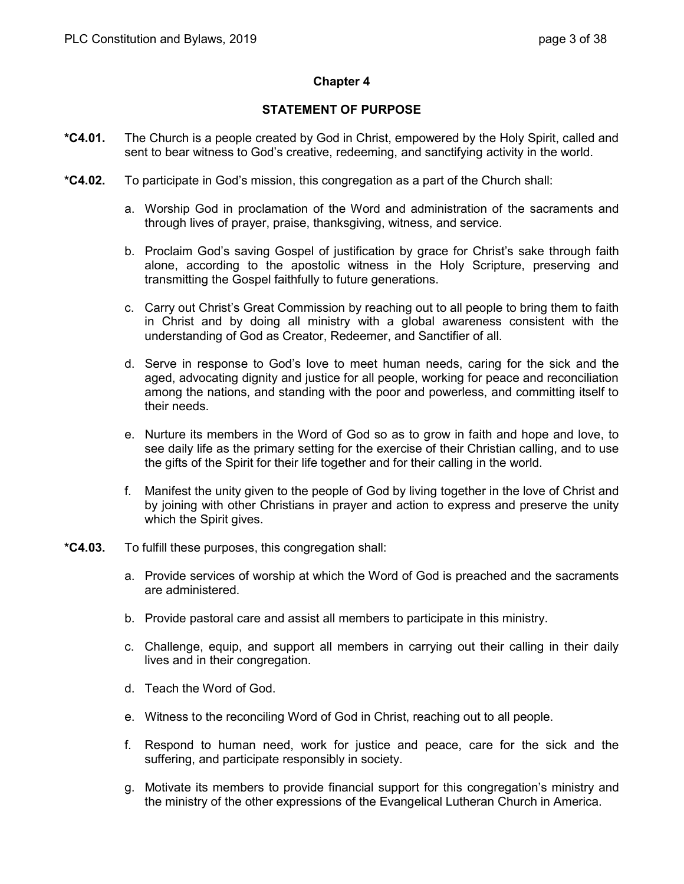## STATEMENT OF PURPOSE

- \*C4.01. The Church is a people created by God in Christ, empowered by the Holy Spirit, called and sent to bear witness to God's creative, redeeming, and sanctifying activity in the world.
- \*C4.02. To participate in God's mission, this congregation as a part of the Church shall:
	- a. Worship God in proclamation of the Word and administration of the sacraments and through lives of prayer, praise, thanksgiving, witness, and service.
	- b. Proclaim God's saving Gospel of justification by grace for Christ's sake through faith alone, according to the apostolic witness in the Holy Scripture, preserving and transmitting the Gospel faithfully to future generations.
	- c. Carry out Christ's Great Commission by reaching out to all people to bring them to faith in Christ and by doing all ministry with a global awareness consistent with the understanding of God as Creator, Redeemer, and Sanctifier of all.
	- d. Serve in response to God's love to meet human needs, caring for the sick and the aged, advocating dignity and justice for all people, working for peace and reconciliation among the nations, and standing with the poor and powerless, and committing itself to their needs.
	- e. Nurture its members in the Word of God so as to grow in faith and hope and love, to see daily life as the primary setting for the exercise of their Christian calling, and to use the gifts of the Spirit for their life together and for their calling in the world.
	- f. Manifest the unity given to the people of God by living together in the love of Christ and by joining with other Christians in prayer and action to express and preserve the unity which the Spirit gives.
- \*C4.03. To fulfill these purposes, this congregation shall:
	- a. Provide services of worship at which the Word of God is preached and the sacraments are administered.
	- b. Provide pastoral care and assist all members to participate in this ministry.
	- c. Challenge, equip, and support all members in carrying out their calling in their daily lives and in their congregation.
	- d. Teach the Word of God.
	- e. Witness to the reconciling Word of God in Christ, reaching out to all people.
	- f. Respond to human need, work for justice and peace, care for the sick and the suffering, and participate responsibly in society.
	- g. Motivate its members to provide financial support for this congregation's ministry and the ministry of the other expressions of the Evangelical Lutheran Church in America.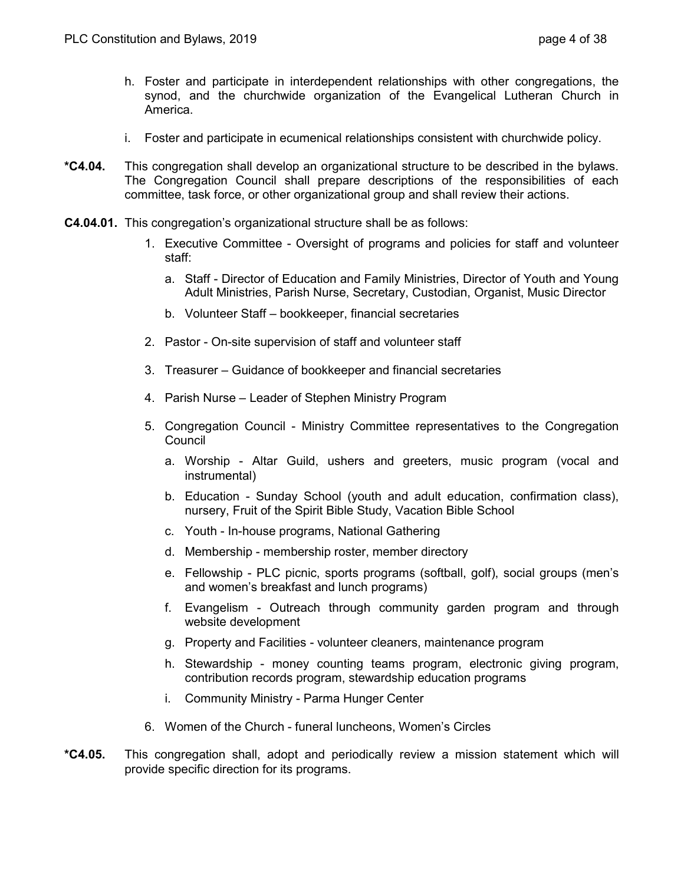- h. Foster and participate in interdependent relationships with other congregations, the synod, and the churchwide organization of the Evangelical Lutheran Church in America.
- i. Foster and participate in ecumenical relationships consistent with churchwide policy.
- \*C4.04. This congregation shall develop an organizational structure to be described in the bylaws. The Congregation Council shall prepare descriptions of the responsibilities of each committee, task force, or other organizational group and shall review their actions.
- C4.04.01. This congregation's organizational structure shall be as follows:
	- 1. Executive Committee Oversight of programs and policies for staff and volunteer staff:
		- a. Staff Director of Education and Family Ministries, Director of Youth and Young Adult Ministries, Parish Nurse, Secretary, Custodian, Organist, Music Director
		- b. Volunteer Staff bookkeeper, financial secretaries
	- 2. Pastor On-site supervision of staff and volunteer staff
	- 3. Treasurer Guidance of bookkeeper and financial secretaries
	- 4. Parish Nurse Leader of Stephen Ministry Program
	- 5. Congregation Council Ministry Committee representatives to the Congregation Council
		- a. Worship Altar Guild, ushers and greeters, music program (vocal and instrumental)
		- b. Education Sunday School (youth and adult education, confirmation class), nursery, Fruit of the Spirit Bible Study, Vacation Bible School
		- c. Youth In-house programs, National Gathering
		- d. Membership membership roster, member directory
		- e. Fellowship PLC picnic, sports programs (softball, golf), social groups (men's and women's breakfast and lunch programs)
		- f. Evangelism Outreach through community garden program and through website development
		- g. Property and Facilities volunteer cleaners, maintenance program
		- h. Stewardship money counting teams program, electronic giving program, contribution records program, stewardship education programs
		- i. Community Ministry Parma Hunger Center
	- 6. Women of the Church funeral luncheons, Women's Circles
- \*C4.05. This congregation shall, adopt and periodically review a mission statement which will provide specific direction for its programs.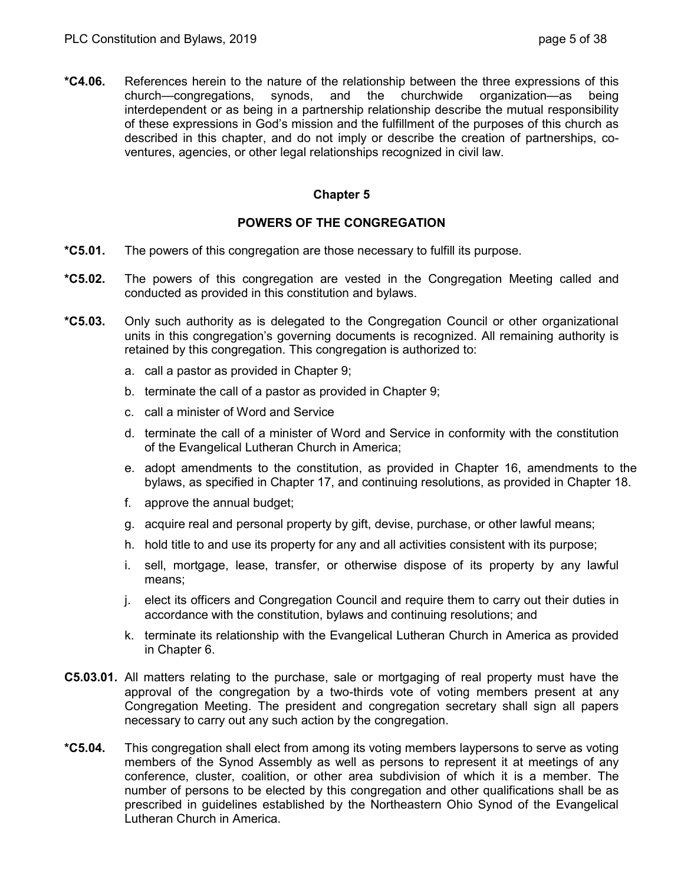\*C4.06. References herein to the nature of the relationship between the three expressions of this church—congregations, synods, and the churchwide organization—as being interdependent or as being in a partnership relationship describe the mutual responsibility of these expressions in God's mission and the fulfillment of the purposes of this church as described in this chapter, and do not imply or describe the creation of partnerships, coventures, agencies, or other legal relationships recognized in civil law.

## Chapter 5

## POWERS OF THE CONGREGATION

- \*C5.01. The powers of this congregation are those necessary to fulfill its purpose.
- \*C5.02. The powers of this congregation are vested in the Congregation Meeting called and conducted as provided in this constitution and bylaws.
- \*C5.03. Only such authority as is delegated to the Congregation Council or other organizational units in this congregation's governing documents is recognized. All remaining authority is retained by this congregation. This congregation is authorized to:
	- a. call a pastor as provided in Chapter 9;
	- b. terminate the call of a pastor as provided in Chapter 9;
	- c. call a minister of Word and Service
	- d. terminate the call of a minister of Word and Service in conformity with the constitution of the Evangelical Lutheran Church in America;
	- e. adopt amendments to the constitution, as provided in Chapter 16, amendments to the bylaws, as specified in Chapter 17, and continuing resolutions, as provided in Chapter 18.
	- f. approve the annual budget;
	- g. acquire real and personal property by gift, devise, purchase, or other lawful means;
	- h. hold title to and use its property for any and all activities consistent with its purpose;
	- i. sell, mortgage, lease, transfer, or otherwise dispose of its property by any lawful means;
	- j. elect its officers and Congregation Council and require them to carry out their duties in accordance with the constitution, bylaws and continuing resolutions; and
	- k. terminate its relationship with the Evangelical Lutheran Church in America as provided in Chapter 6.
- C5.03.01. All matters relating to the purchase, sale or mortgaging of real property must have the approval of the congregation by a two-thirds vote of voting members present at any Congregation Meeting. The president and congregation secretary shall sign all papers necessary to carry out any such action by the congregation.
- \*C5.04. This congregation shall elect from among its voting members laypersons to serve as voting members of the Synod Assembly as well as persons to represent it at meetings of any conference, cluster, coalition, or other area subdivision of which it is a member. The number of persons to be elected by this congregation and other qualifications shall be as prescribed in guidelines established by the Northeastern Ohio Synod of the Evangelical Lutheran Church in America.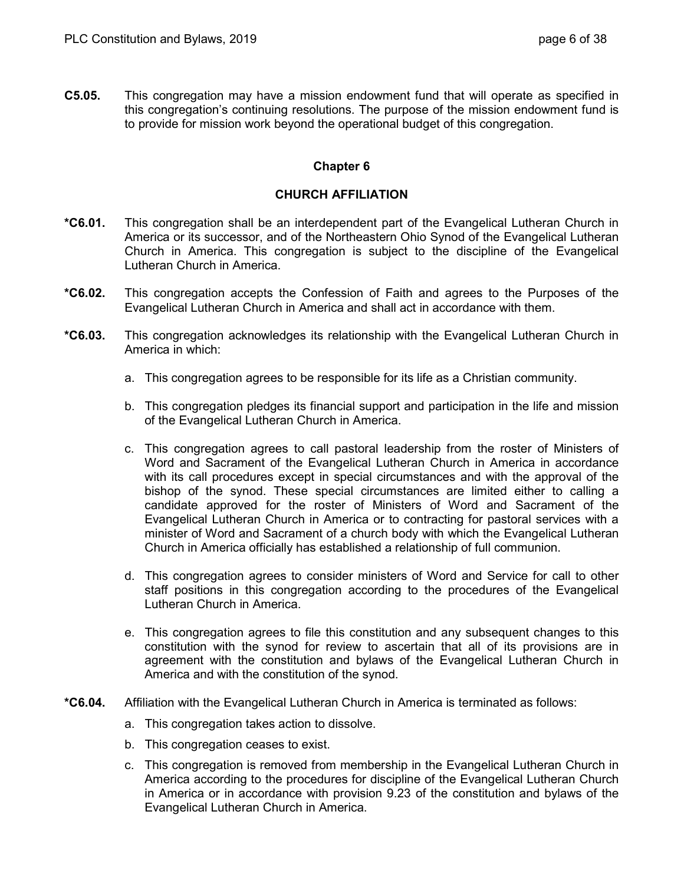C5.05. This congregation may have a mission endowment fund that will operate as specified in this congregation's continuing resolutions. The purpose of the mission endowment fund is to provide for mission work beyond the operational budget of this congregation.

## Chapter 6

### CHURCH AFFILIATION

- \*C6.01. This congregation shall be an interdependent part of the Evangelical Lutheran Church in America or its successor, and of the Northeastern Ohio Synod of the Evangelical Lutheran Church in America. This congregation is subject to the discipline of the Evangelical Lutheran Church in America.
- \*C6.02. This congregation accepts the Confession of Faith and agrees to the Purposes of the Evangelical Lutheran Church in America and shall act in accordance with them.
- \*C6.03. This congregation acknowledges its relationship with the Evangelical Lutheran Church in America in which:
	- a. This congregation agrees to be responsible for its life as a Christian community.
	- b. This congregation pledges its financial support and participation in the life and mission of the Evangelical Lutheran Church in America.
	- c. This congregation agrees to call pastoral leadership from the roster of Ministers of Word and Sacrament of the Evangelical Lutheran Church in America in accordance with its call procedures except in special circumstances and with the approval of the bishop of the synod. These special circumstances are limited either to calling a candidate approved for the roster of Ministers of Word and Sacrament of the Evangelical Lutheran Church in America or to contracting for pastoral services with a minister of Word and Sacrament of a church body with which the Evangelical Lutheran Church in America officially has established a relationship of full communion.
	- d. This congregation agrees to consider ministers of Word and Service for call to other staff positions in this congregation according to the procedures of the Evangelical Lutheran Church in America.
	- e. This congregation agrees to file this constitution and any subsequent changes to this constitution with the synod for review to ascertain that all of its provisions are in agreement with the constitution and bylaws of the Evangelical Lutheran Church in America and with the constitution of the synod.
- \*C6.04. Affiliation with the Evangelical Lutheran Church in America is terminated as follows:
	- a. This congregation takes action to dissolve.
	- b. This congregation ceases to exist.
	- c. This congregation is removed from membership in the Evangelical Lutheran Church in America according to the procedures for discipline of the Evangelical Lutheran Church in America or in accordance with provision 9.23 of the constitution and bylaws of the Evangelical Lutheran Church in America.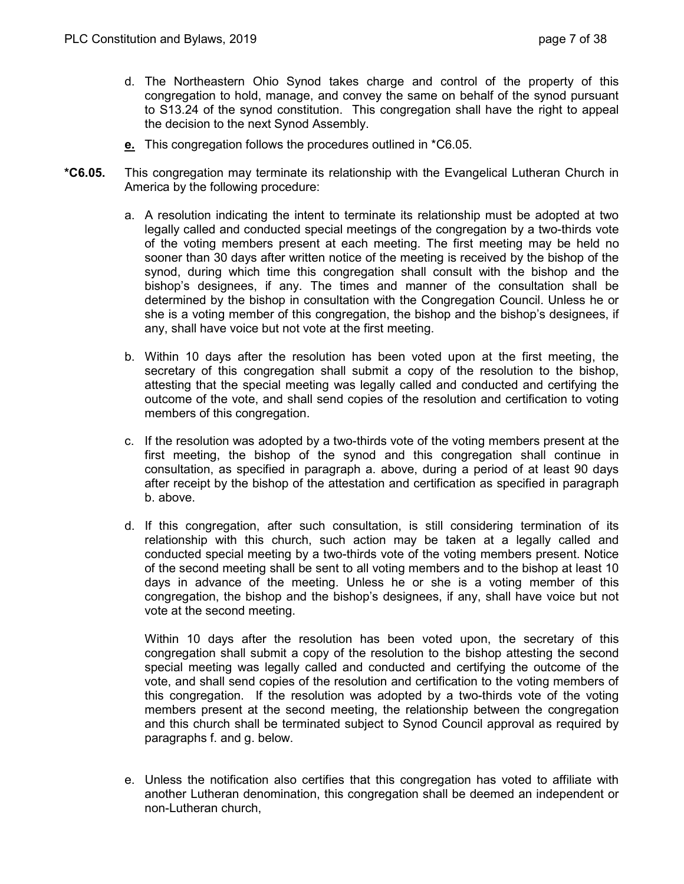- d. The Northeastern Ohio Synod takes charge and control of the property of this congregation to hold, manage, and convey the same on behalf of the synod pursuant to S13.24 of the synod constitution. This congregation shall have the right to appeal the decision to the next Synod Assembly.
- e. This congregation follows the procedures outlined in \*C6.05.
- \*C6.05. This congregation may terminate its relationship with the Evangelical Lutheran Church in America by the following procedure:
	- a. A resolution indicating the intent to terminate its relationship must be adopted at two legally called and conducted special meetings of the congregation by a two-thirds vote of the voting members present at each meeting. The first meeting may be held no sooner than 30 days after written notice of the meeting is received by the bishop of the synod, during which time this congregation shall consult with the bishop and the bishop's designees, if any. The times and manner of the consultation shall be determined by the bishop in consultation with the Congregation Council. Unless he or she is a voting member of this congregation, the bishop and the bishop's designees, if any, shall have voice but not vote at the first meeting.
	- b. Within 10 days after the resolution has been voted upon at the first meeting, the secretary of this congregation shall submit a copy of the resolution to the bishop, attesting that the special meeting was legally called and conducted and certifying the outcome of the vote, and shall send copies of the resolution and certification to voting members of this congregation.
	- c. If the resolution was adopted by a two-thirds vote of the voting members present at the first meeting, the bishop of the synod and this congregation shall continue in consultation, as specified in paragraph a. above, during a period of at least 90 days after receipt by the bishop of the attestation and certification as specified in paragraph b. above.
	- d. If this congregation, after such consultation, is still considering termination of its relationship with this church, such action may be taken at a legally called and conducted special meeting by a two-thirds vote of the voting members present. Notice of the second meeting shall be sent to all voting members and to the bishop at least 10 days in advance of the meeting. Unless he or she is a voting member of this congregation, the bishop and the bishop's designees, if any, shall have voice but not vote at the second meeting.

Within 10 days after the resolution has been voted upon, the secretary of this congregation shall submit a copy of the resolution to the bishop attesting the second special meeting was legally called and conducted and certifying the outcome of the vote, and shall send copies of the resolution and certification to the voting members of this congregation. If the resolution was adopted by a two-thirds vote of the voting members present at the second meeting, the relationship between the congregation and this church shall be terminated subject to Synod Council approval as required by paragraphs f. and g. below.

e. Unless the notification also certifies that this congregation has voted to affiliate with another Lutheran denomination, this congregation shall be deemed an independent or non-Lutheran church,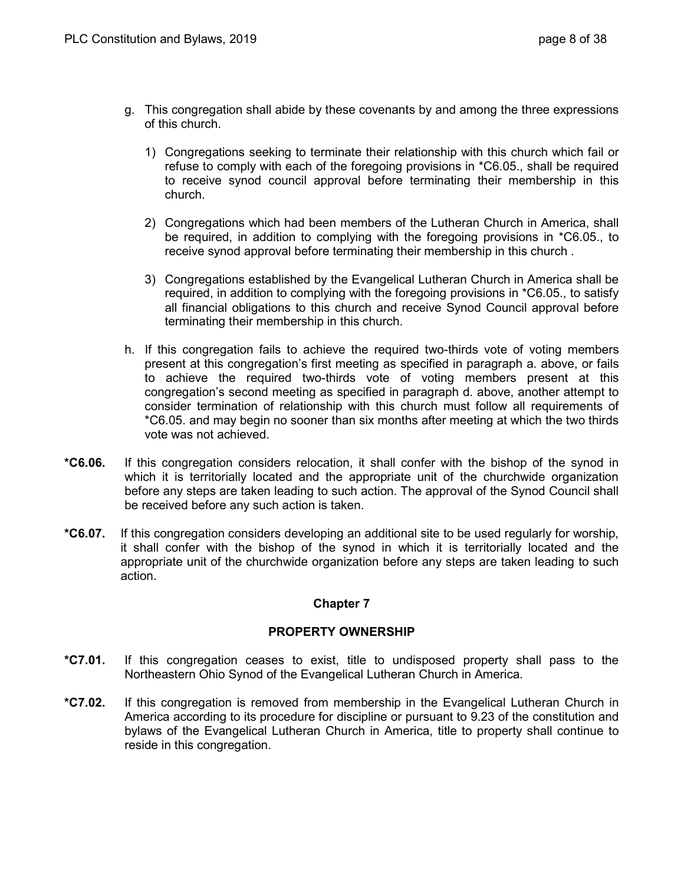- g. This congregation shall abide by these covenants by and among the three expressions of this church.
	- 1) Congregations seeking to terminate their relationship with this church which fail or refuse to comply with each of the foregoing provisions in \*C6.05., shall be required to receive synod council approval before terminating their membership in this church.
	- 2) Congregations which had been members of the Lutheran Church in America, shall be required, in addition to complying with the foregoing provisions in \*C6.05., to receive synod approval before terminating their membership in this church .
	- 3) Congregations established by the Evangelical Lutheran Church in America shall be required, in addition to complying with the foregoing provisions in \*C6.05., to satisfy all financial obligations to this church and receive Synod Council approval before terminating their membership in this church.
- h. If this congregation fails to achieve the required two-thirds vote of voting members present at this congregation's first meeting as specified in paragraph a. above, or fails to achieve the required two-thirds vote of voting members present at this congregation's second meeting as specified in paragraph d. above, another attempt to consider termination of relationship with this church must follow all requirements of \*C6.05. and may begin no sooner than six months after meeting at which the two thirds vote was not achieved.
- \*C6.06. If this congregation considers relocation, it shall confer with the bishop of the synod in which it is territorially located and the appropriate unit of the churchwide organization before any steps are taken leading to such action. The approval of the Synod Council shall be received before any such action is taken.
- \*C6.07. If this congregation considers developing an additional site to be used regularly for worship, it shall confer with the bishop of the synod in which it is territorially located and the appropriate unit of the churchwide organization before any steps are taken leading to such action.

## PROPERTY OWNERSHIP

- \*C7.01. If this congregation ceases to exist, title to undisposed property shall pass to the Northeastern Ohio Synod of the Evangelical Lutheran Church in America.
- \*C7.02. If this congregation is removed from membership in the Evangelical Lutheran Church in America according to its procedure for discipline or pursuant to 9.23 of the constitution and bylaws of the Evangelical Lutheran Church in America, title to property shall continue to reside in this congregation.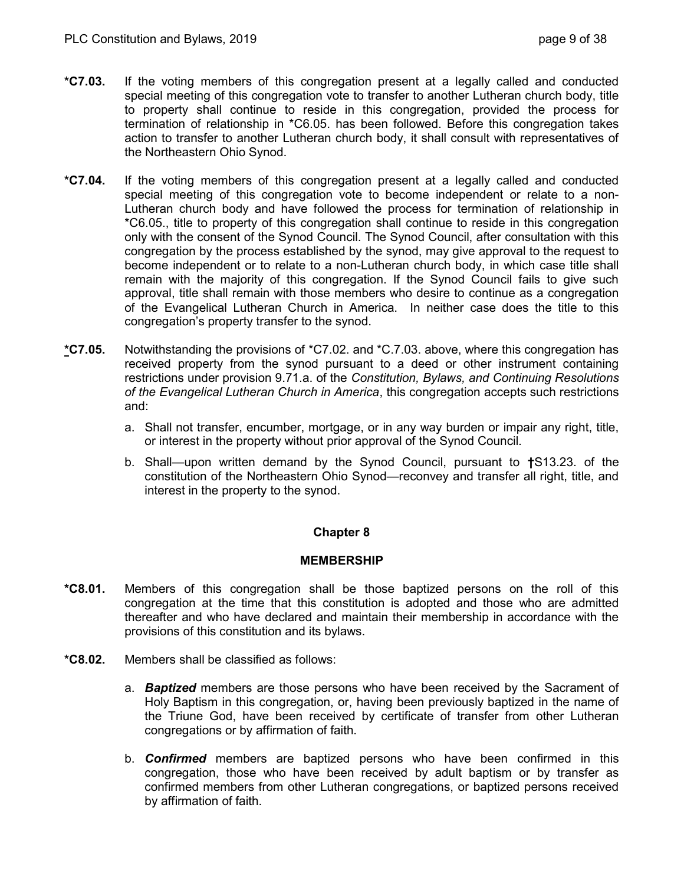- \*C7.03. If the voting members of this congregation present at a legally called and conducted special meeting of this congregation vote to transfer to another Lutheran church body, title to property shall continue to reside in this congregation, provided the process for termination of relationship in \*C6.05. has been followed. Before this congregation takes action to transfer to another Lutheran church body, it shall consult with representatives of the Northeastern Ohio Synod.
- \*C7.04. If the voting members of this congregation present at a legally called and conducted special meeting of this congregation vote to become independent or relate to a non-Lutheran church body and have followed the process for termination of relationship in \*C6.05., title to property of this congregation shall continue to reside in this congregation only with the consent of the Synod Council. The Synod Council, after consultation with this congregation by the process established by the synod, may give approval to the request to become independent or to relate to a non-Lutheran church body, in which case title shall remain with the majority of this congregation. If the Synod Council fails to give such approval, title shall remain with those members who desire to continue as a congregation of the Evangelical Lutheran Church in America. In neither case does the title to this congregation's property transfer to the synod.
- \*C7.05. Notwithstanding the provisions of \*C7.02. and \*C.7.03. above, where this congregation has received property from the synod pursuant to a deed or other instrument containing restrictions under provision 9.71.a. of the Constitution, Bylaws, and Continuing Resolutions of the Evangelical Lutheran Church in America, this congregation accepts such restrictions and:
	- a. Shall not transfer, encumber, mortgage, or in any way burden or impair any right, title, or interest in the property without prior approval of the Synod Council.
	- b. Shall—upon written demand by the Synod Council, pursuant to †S13.23. of the constitution of the Northeastern Ohio Synod—reconvey and transfer all right, title, and interest in the property to the synod.

## MEMBERSHIP

- \*C8.01. Members of this congregation shall be those baptized persons on the roll of this congregation at the time that this constitution is adopted and those who are admitted thereafter and who have declared and maintain their membership in accordance with the provisions of this constitution and its bylaws.
- \*C8.02. Members shall be classified as follows:
	- a. **Baptized** members are those persons who have been received by the Sacrament of Holy Baptism in this congregation, or, having been previously baptized in the name of the Triune God, have been received by certificate of transfer from other Lutheran congregations or by affirmation of faith.
	- b. Confirmed members are baptized persons who have been confirmed in this congregation, those who have been received by adult baptism or by transfer as confirmed members from other Lutheran congregations, or baptized persons received by affirmation of faith.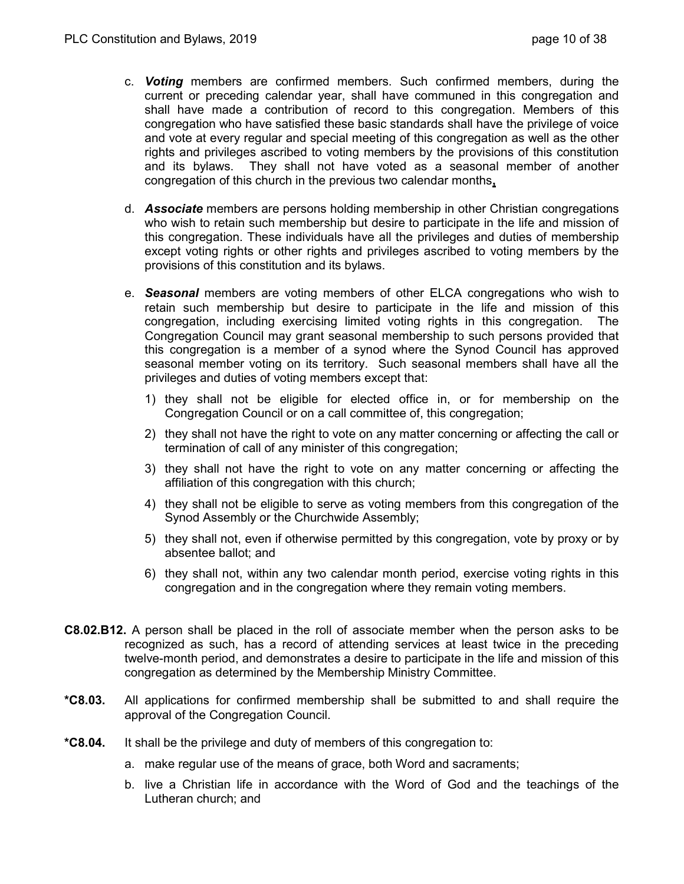- c. Voting members are confirmed members. Such confirmed members, during the current or preceding calendar year, shall have communed in this congregation and shall have made a contribution of record to this congregation. Members of this congregation who have satisfied these basic standards shall have the privilege of voice and vote at every regular and special meeting of this congregation as well as the other rights and privileges ascribed to voting members by the provisions of this constitution and its bylaws. They shall not have voted as a seasonal member of another congregation of this church in the previous two calendar months,
- d. Associate members are persons holding membership in other Christian congregations who wish to retain such membership but desire to participate in the life and mission of this congregation. These individuals have all the privileges and duties of membership except voting rights or other rights and privileges ascribed to voting members by the provisions of this constitution and its bylaws.
- e. Seasonal members are voting members of other ELCA congregations who wish to retain such membership but desire to participate in the life and mission of this congregation, including exercising limited voting rights in this congregation. The Congregation Council may grant seasonal membership to such persons provided that this congregation is a member of a synod where the Synod Council has approved seasonal member voting on its territory. Such seasonal members shall have all the privileges and duties of voting members except that:
	- 1) they shall not be eligible for elected office in, or for membership on the Congregation Council or on a call committee of, this congregation;
	- 2) they shall not have the right to vote on any matter concerning or affecting the call or termination of call of any minister of this congregation;
	- 3) they shall not have the right to vote on any matter concerning or affecting the affiliation of this congregation with this church;
	- 4) they shall not be eligible to serve as voting members from this congregation of the Synod Assembly or the Churchwide Assembly;
	- 5) they shall not, even if otherwise permitted by this congregation, vote by proxy or by absentee ballot; and
	- 6) they shall not, within any two calendar month period, exercise voting rights in this congregation and in the congregation where they remain voting members.
- C8.02.B12. A person shall be placed in the roll of associate member when the person asks to be recognized as such, has a record of attending services at least twice in the preceding twelve-month period, and demonstrates a desire to participate in the life and mission of this congregation as determined by the Membership Ministry Committee.
- \*C8.03. All applications for confirmed membership shall be submitted to and shall require the approval of the Congregation Council.
- \*C8.04. It shall be the privilege and duty of members of this congregation to:
	- a. make regular use of the means of grace, both Word and sacraments;
	- b. live a Christian life in accordance with the Word of God and the teachings of the Lutheran church; and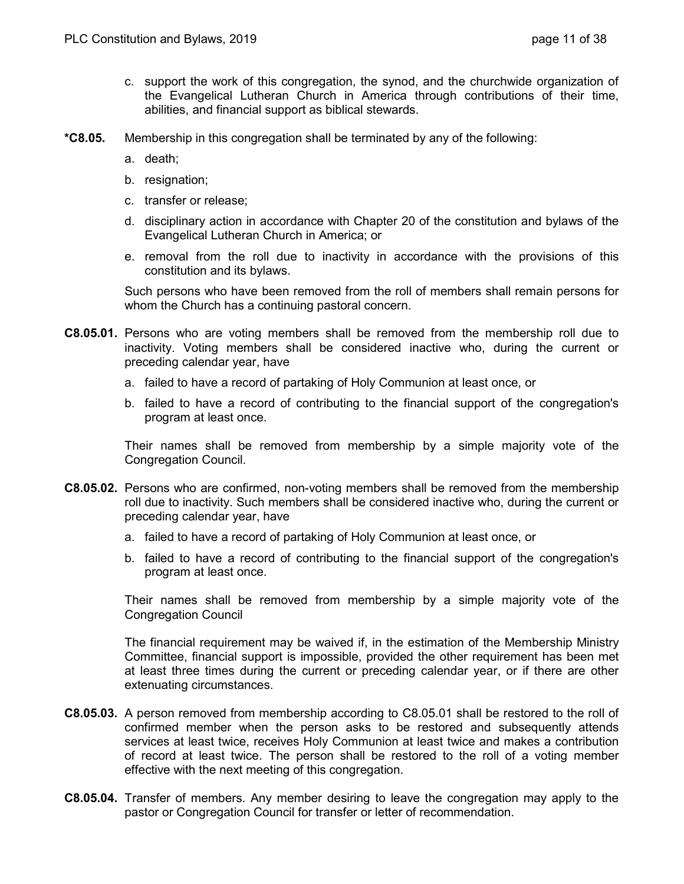- c. support the work of this congregation, the synod, and the churchwide organization of the Evangelical Lutheran Church in America through contributions of their time, abilities, and financial support as biblical stewards.
- \*C8.05. Membership in this congregation shall be terminated by any of the following:
	- a. death;
	- b. resignation;
	- c. transfer or release;
	- d. disciplinary action in accordance with Chapter 20 of the constitution and bylaws of the Evangelical Lutheran Church in America; or
	- e. removal from the roll due to inactivity in accordance with the provisions of this constitution and its bylaws.

Such persons who have been removed from the roll of members shall remain persons for whom the Church has a continuing pastoral concern.

- C8.05.01. Persons who are voting members shall be removed from the membership roll due to inactivity. Voting members shall be considered inactive who, during the current or preceding calendar year, have
	- a. failed to have a record of partaking of Holy Communion at least once, or
	- b. failed to have a record of contributing to the financial support of the congregation's program at least once.

Their names shall be removed from membership by a simple majority vote of the Congregation Council.

- C8.05.02. Persons who are confirmed, non-voting members shall be removed from the membership roll due to inactivity. Such members shall be considered inactive who, during the current or preceding calendar year, have
	- a. failed to have a record of partaking of Holy Communion at least once, or
	- b. failed to have a record of contributing to the financial support of the congregation's program at least once.

Their names shall be removed from membership by a simple majority vote of the Congregation Council

The financial requirement may be waived if, in the estimation of the Membership Ministry Committee, financial support is impossible, provided the other requirement has been met at least three times during the current or preceding calendar year, or if there are other extenuating circumstances.

- C8.05.03. A person removed from membership according to C8.05.01 shall be restored to the roll of confirmed member when the person asks to be restored and subsequently attends services at least twice, receives Holy Communion at least twice and makes a contribution of record at least twice. The person shall be restored to the roll of a voting member effective with the next meeting of this congregation.
- C8.05.04. Transfer of members. Any member desiring to leave the congregation may apply to the pastor or Congregation Council for transfer or letter of recommendation.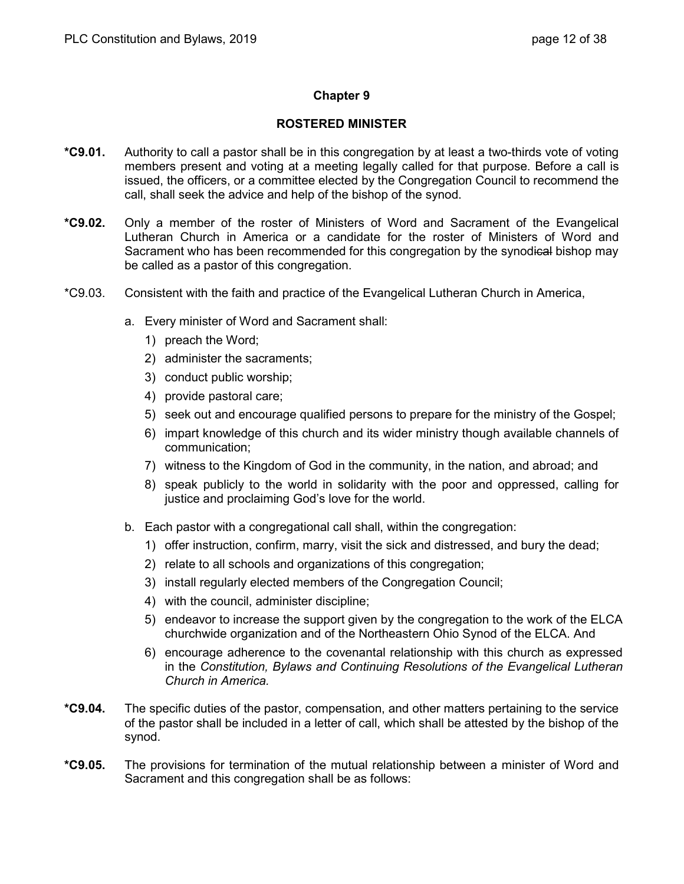## ROSTERED MINISTER

- \*C9.01. Authority to call a pastor shall be in this congregation by at least a two-thirds vote of voting members present and voting at a meeting legally called for that purpose. Before a call is issued, the officers, or a committee elected by the Congregation Council to recommend the call, shall seek the advice and help of the bishop of the synod.
- \*C9.02. Only a member of the roster of Ministers of Word and Sacrament of the Evangelical Lutheran Church in America or a candidate for the roster of Ministers of Word and Sacrament who has been recommended for this congregation by the synodical bishop may be called as a pastor of this congregation.
- \*C9.03. Consistent with the faith and practice of the Evangelical Lutheran Church in America,
	- a. Every minister of Word and Sacrament shall:
		- 1) preach the Word;
		- 2) administer the sacraments;
		- 3) conduct public worship;
		- 4) provide pastoral care;
		- 5) seek out and encourage qualified persons to prepare for the ministry of the Gospel;
		- 6) impart knowledge of this church and its wider ministry though available channels of communication;
		- 7) witness to the Kingdom of God in the community, in the nation, and abroad; and
		- 8) speak publicly to the world in solidarity with the poor and oppressed, calling for justice and proclaiming God's love for the world.
	- b. Each pastor with a congregational call shall, within the congregation:
		- 1) offer instruction, confirm, marry, visit the sick and distressed, and bury the dead;
		- 2) relate to all schools and organizations of this congregation;
		- 3) install regularly elected members of the Congregation Council;
		- 4) with the council, administer discipline;
		- 5) endeavor to increase the support given by the congregation to the work of the ELCA churchwide organization and of the Northeastern Ohio Synod of the ELCA. And
		- 6) encourage adherence to the covenantal relationship with this church as expressed in the Constitution, Bylaws and Continuing Resolutions of the Evangelical Lutheran Church in America.
- \*C9.04. The specific duties of the pastor, compensation, and other matters pertaining to the service of the pastor shall be included in a letter of call, which shall be attested by the bishop of the synod.
- \*C9.05. The provisions for termination of the mutual relationship between a minister of Word and Sacrament and this congregation shall be as follows: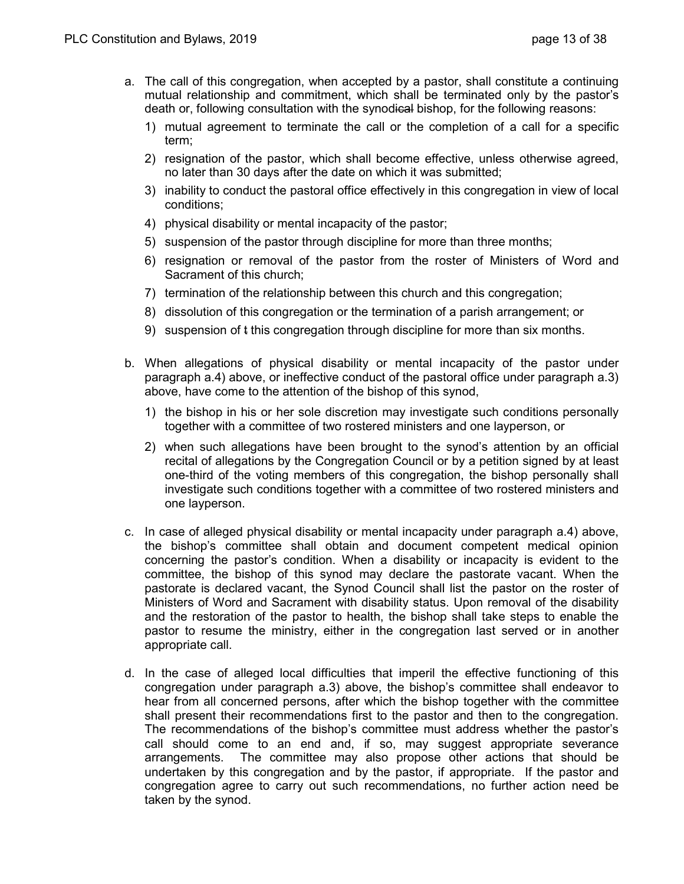- a. The call of this congregation, when accepted by a pastor, shall constitute a continuing mutual relationship and commitment, which shall be terminated only by the pastor's death or, following consultation with the synodical bishop, for the following reasons:
	- 1) mutual agreement to terminate the call or the completion of a call for a specific term;
	- 2) resignation of the pastor, which shall become effective, unless otherwise agreed, no later than 30 days after the date on which it was submitted;
	- 3) inability to conduct the pastoral office effectively in this congregation in view of local conditions;
	- 4) physical disability or mental incapacity of the pastor;
	- 5) suspension of the pastor through discipline for more than three months;
	- 6) resignation or removal of the pastor from the roster of Ministers of Word and Sacrament of this church;
	- 7) termination of the relationship between this church and this congregation;
	- 8) dissolution of this congregation or the termination of a parish arrangement; or
	- 9) suspension of t this congregation through discipline for more than six months.
- b. When allegations of physical disability or mental incapacity of the pastor under paragraph a.4) above, or ineffective conduct of the pastoral office under paragraph a.3) above, have come to the attention of the bishop of this synod,
	- 1) the bishop in his or her sole discretion may investigate such conditions personally together with a committee of two rostered ministers and one layperson, or
	- 2) when such allegations have been brought to the synod's attention by an official recital of allegations by the Congregation Council or by a petition signed by at least one-third of the voting members of this congregation, the bishop personally shall investigate such conditions together with a committee of two rostered ministers and one layperson.
- c. In case of alleged physical disability or mental incapacity under paragraph a.4) above, the bishop's committee shall obtain and document competent medical opinion concerning the pastor's condition. When a disability or incapacity is evident to the committee, the bishop of this synod may declare the pastorate vacant. When the pastorate is declared vacant, the Synod Council shall list the pastor on the roster of Ministers of Word and Sacrament with disability status. Upon removal of the disability and the restoration of the pastor to health, the bishop shall take steps to enable the pastor to resume the ministry, either in the congregation last served or in another appropriate call.
- d. In the case of alleged local difficulties that imperil the effective functioning of this congregation under paragraph a.3) above, the bishop's committee shall endeavor to hear from all concerned persons, after which the bishop together with the committee shall present their recommendations first to the pastor and then to the congregation. The recommendations of the bishop's committee must address whether the pastor's call should come to an end and, if so, may suggest appropriate severance arrangements. The committee may also propose other actions that should be undertaken by this congregation and by the pastor, if appropriate. If the pastor and congregation agree to carry out such recommendations, no further action need be taken by the synod.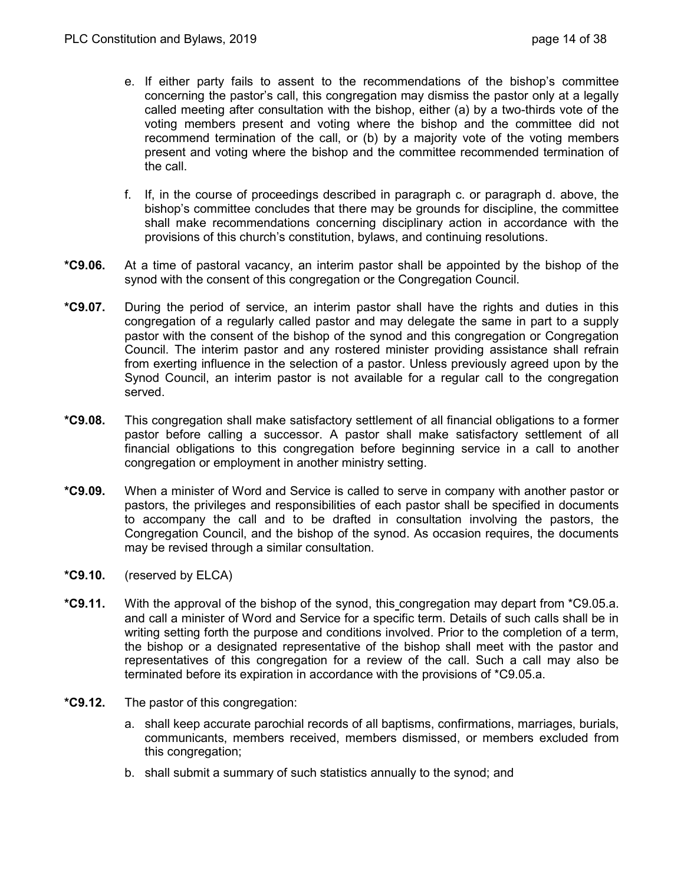- e. If either party fails to assent to the recommendations of the bishop's committee concerning the pastor's call, this congregation may dismiss the pastor only at a legally called meeting after consultation with the bishop, either (a) by a two-thirds vote of the voting members present and voting where the bishop and the committee did not recommend termination of the call, or (b) by a majority vote of the voting members present and voting where the bishop and the committee recommended termination of the call.
- f. If, in the course of proceedings described in paragraph c. or paragraph d. above, the bishop's committee concludes that there may be grounds for discipline, the committee shall make recommendations concerning disciplinary action in accordance with the provisions of this church's constitution, bylaws, and continuing resolutions.
- \*C9.06. At a time of pastoral vacancy, an interim pastor shall be appointed by the bishop of the synod with the consent of this congregation or the Congregation Council.
- \*C9.07. During the period of service, an interim pastor shall have the rights and duties in this congregation of a regularly called pastor and may delegate the same in part to a supply pastor with the consent of the bishop of the synod and this congregation or Congregation Council. The interim pastor and any rostered minister providing assistance shall refrain from exerting influence in the selection of a pastor. Unless previously agreed upon by the Synod Council, an interim pastor is not available for a regular call to the congregation served.
- \*C9.08. This congregation shall make satisfactory settlement of all financial obligations to a former pastor before calling a successor. A pastor shall make satisfactory settlement of all financial obligations to this congregation before beginning service in a call to another congregation or employment in another ministry setting.
- \*C9.09. When a minister of Word and Service is called to serve in company with another pastor or pastors, the privileges and responsibilities of each pastor shall be specified in documents to accompany the call and to be drafted in consultation involving the pastors, the Congregation Council, and the bishop of the synod. As occasion requires, the documents may be revised through a similar consultation.
- \*C9.10. (reserved by ELCA)
- \*C9.11. With the approval of the bishop of the synod, this congregation may depart from \*C9.05.a. and call a minister of Word and Service for a specific term. Details of such calls shall be in writing setting forth the purpose and conditions involved. Prior to the completion of a term, the bishop or a designated representative of the bishop shall meet with the pastor and representatives of this congregation for a review of the call. Such a call may also be terminated before its expiration in accordance with the provisions of \*C9.05.a.
- \*C9.12. The pastor of this congregation:
	- a. shall keep accurate parochial records of all baptisms, confirmations, marriages, burials, communicants, members received, members dismissed, or members excluded from this congregation;
	- b. shall submit a summary of such statistics annually to the synod; and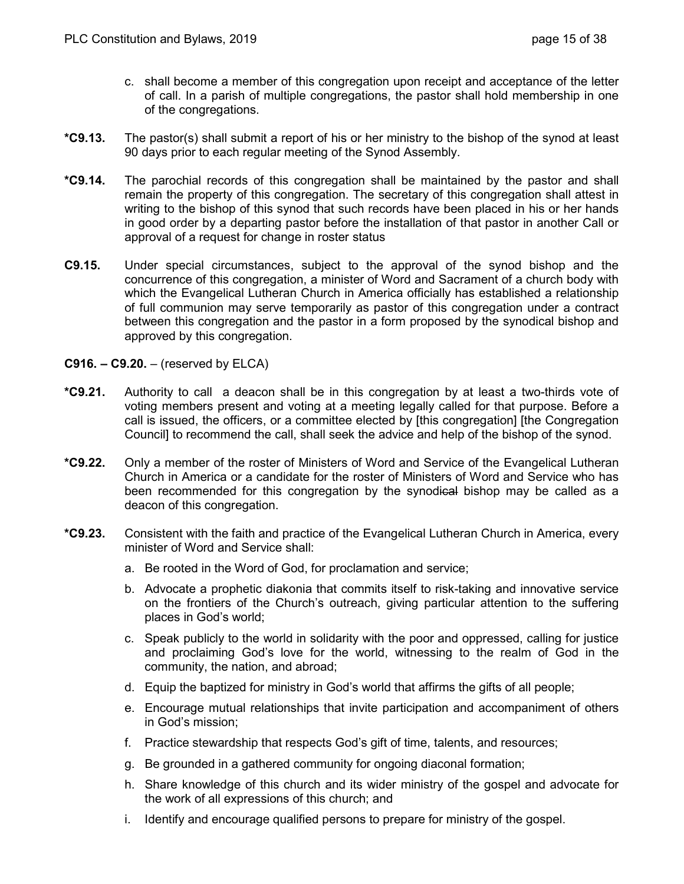- c. shall become a member of this congregation upon receipt and acceptance of the letter of call. In a parish of multiple congregations, the pastor shall hold membership in one of the congregations.
- \*C9.13. The pastor(s) shall submit a report of his or her ministry to the bishop of the synod at least 90 days prior to each regular meeting of the Synod Assembly.
- \*C9.14. The parochial records of this congregation shall be maintained by the pastor and shall remain the property of this congregation. The secretary of this congregation shall attest in writing to the bishop of this synod that such records have been placed in his or her hands in good order by a departing pastor before the installation of that pastor in another Call or approval of a request for change in roster status
- C9.15. Under special circumstances, subject to the approval of the synod bishop and the concurrence of this congregation, a minister of Word and Sacrament of a church body with which the Evangelical Lutheran Church in America officially has established a relationship of full communion may serve temporarily as pastor of this congregation under a contract between this congregation and the pastor in a form proposed by the synodical bishop and approved by this congregation.
- $C916. C9.20. -$  (reserved by ELCA)
- \*C9.21. Authority to call a deacon shall be in this congregation by at least a two-thirds vote of voting members present and voting at a meeting legally called for that purpose. Before a call is issued, the officers, or a committee elected by [this congregation] [the Congregation Council] to recommend the call, shall seek the advice and help of the bishop of the synod.
- \*C9.22. Only a member of the roster of Ministers of Word and Service of the Evangelical Lutheran Church in America or a candidate for the roster of Ministers of Word and Service who has been recommended for this congregation by the synodical bishop may be called as a deacon of this congregation.
- \*C9.23. Consistent with the faith and practice of the Evangelical Lutheran Church in America, every minister of Word and Service shall:
	- a. Be rooted in the Word of God, for proclamation and service;
	- b. Advocate a prophetic diakonia that commits itself to risk-taking and innovative service on the frontiers of the Church's outreach, giving particular attention to the suffering places in God's world;
	- c. Speak publicly to the world in solidarity with the poor and oppressed, calling for justice and proclaiming God's love for the world, witnessing to the realm of God in the community, the nation, and abroad;
	- d. Equip the baptized for ministry in God's world that affirms the gifts of all people;
	- e. Encourage mutual relationships that invite participation and accompaniment of others in God's mission;
	- f. Practice stewardship that respects God's gift of time, talents, and resources;
	- g. Be grounded in a gathered community for ongoing diaconal formation;
	- h. Share knowledge of this church and its wider ministry of the gospel and advocate for the work of all expressions of this church; and
	- i. Identify and encourage qualified persons to prepare for ministry of the gospel.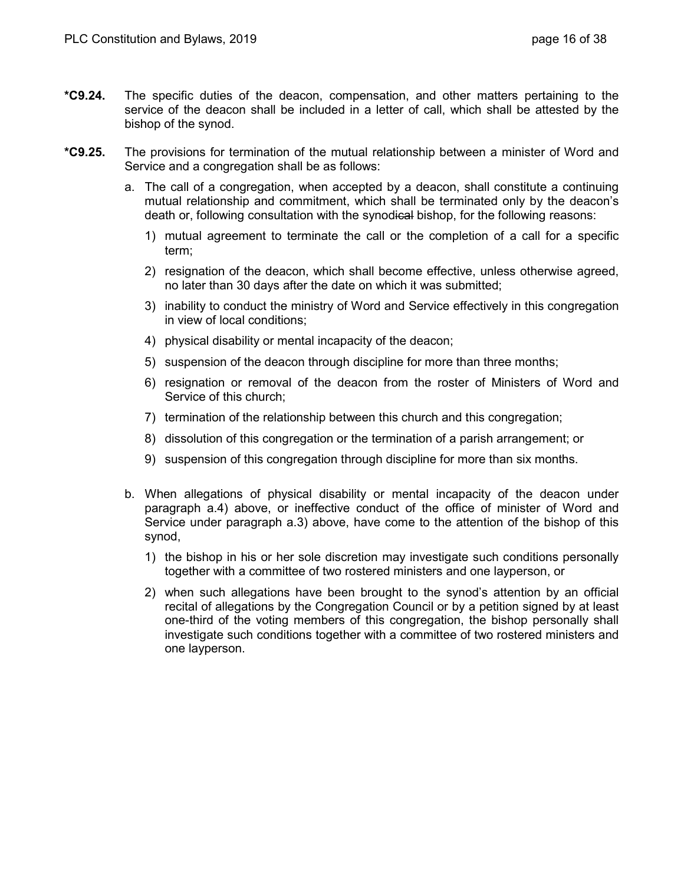- \*C9.24. The specific duties of the deacon, compensation, and other matters pertaining to the service of the deacon shall be included in a letter of call, which shall be attested by the bishop of the synod.
- \*C9.25. The provisions for termination of the mutual relationship between a minister of Word and Service and a congregation shall be as follows:
	- a. The call of a congregation, when accepted by a deacon, shall constitute a continuing mutual relationship and commitment, which shall be terminated only by the deacon's death or, following consultation with the synodical bishop, for the following reasons:
		- 1) mutual agreement to terminate the call or the completion of a call for a specific term;
		- 2) resignation of the deacon, which shall become effective, unless otherwise agreed, no later than 30 days after the date on which it was submitted;
		- 3) inability to conduct the ministry of Word and Service effectively in this congregation in view of local conditions;
		- 4) physical disability or mental incapacity of the deacon;
		- 5) suspension of the deacon through discipline for more than three months;
		- 6) resignation or removal of the deacon from the roster of Ministers of Word and Service of this church;
		- 7) termination of the relationship between this church and this congregation;
		- 8) dissolution of this congregation or the termination of a parish arrangement; or
		- 9) suspension of this congregation through discipline for more than six months.
	- b. When allegations of physical disability or mental incapacity of the deacon under paragraph a.4) above, or ineffective conduct of the office of minister of Word and Service under paragraph a.3) above, have come to the attention of the bishop of this synod,
		- 1) the bishop in his or her sole discretion may investigate such conditions personally together with a committee of two rostered ministers and one layperson, or
		- 2) when such allegations have been brought to the synod's attention by an official recital of allegations by the Congregation Council or by a petition signed by at least one-third of the voting members of this congregation, the bishop personally shall investigate such conditions together with a committee of two rostered ministers and one layperson.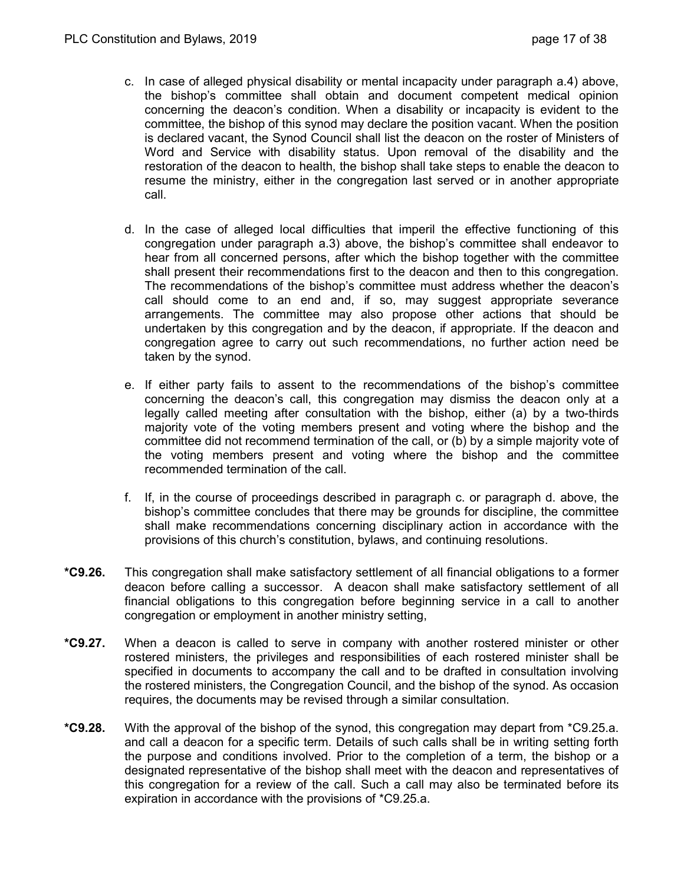- c. In case of alleged physical disability or mental incapacity under paragraph a.4) above, the bishop's committee shall obtain and document competent medical opinion concerning the deacon's condition. When a disability or incapacity is evident to the committee, the bishop of this synod may declare the position vacant. When the position is declared vacant, the Synod Council shall list the deacon on the roster of Ministers of Word and Service with disability status. Upon removal of the disability and the restoration of the deacon to health, the bishop shall take steps to enable the deacon to resume the ministry, either in the congregation last served or in another appropriate call.
- d. In the case of alleged local difficulties that imperil the effective functioning of this congregation under paragraph a.3) above, the bishop's committee shall endeavor to hear from all concerned persons, after which the bishop together with the committee shall present their recommendations first to the deacon and then to this congregation. The recommendations of the bishop's committee must address whether the deacon's call should come to an end and, if so, may suggest appropriate severance arrangements. The committee may also propose other actions that should be undertaken by this congregation and by the deacon, if appropriate. If the deacon and congregation agree to carry out such recommendations, no further action need be taken by the synod.
- e. If either party fails to assent to the recommendations of the bishop's committee concerning the deacon's call, this congregation may dismiss the deacon only at a legally called meeting after consultation with the bishop, either (a) by a two-thirds majority vote of the voting members present and voting where the bishop and the committee did not recommend termination of the call, or (b) by a simple majority vote of the voting members present and voting where the bishop and the committee recommended termination of the call.
- f. If, in the course of proceedings described in paragraph c. or paragraph d. above, the bishop's committee concludes that there may be grounds for discipline, the committee shall make recommendations concerning disciplinary action in accordance with the provisions of this church's constitution, bylaws, and continuing resolutions.
- \*C9.26. This congregation shall make satisfactory settlement of all financial obligations to a former deacon before calling a successor. A deacon shall make satisfactory settlement of all financial obligations to this congregation before beginning service in a call to another congregation or employment in another ministry setting,
- \*C9.27. When a deacon is called to serve in company with another rostered minister or other rostered ministers, the privileges and responsibilities of each rostered minister shall be specified in documents to accompany the call and to be drafted in consultation involving the rostered ministers, the Congregation Council, and the bishop of the synod. As occasion requires, the documents may be revised through a similar consultation.
- \*C9.28. With the approval of the bishop of the synod, this congregation may depart from \*C9.25.a. and call a deacon for a specific term. Details of such calls shall be in writing setting forth the purpose and conditions involved. Prior to the completion of a term, the bishop or a designated representative of the bishop shall meet with the deacon and representatives of this congregation for a review of the call. Such a call may also be terminated before its expiration in accordance with the provisions of \*C9.25.a.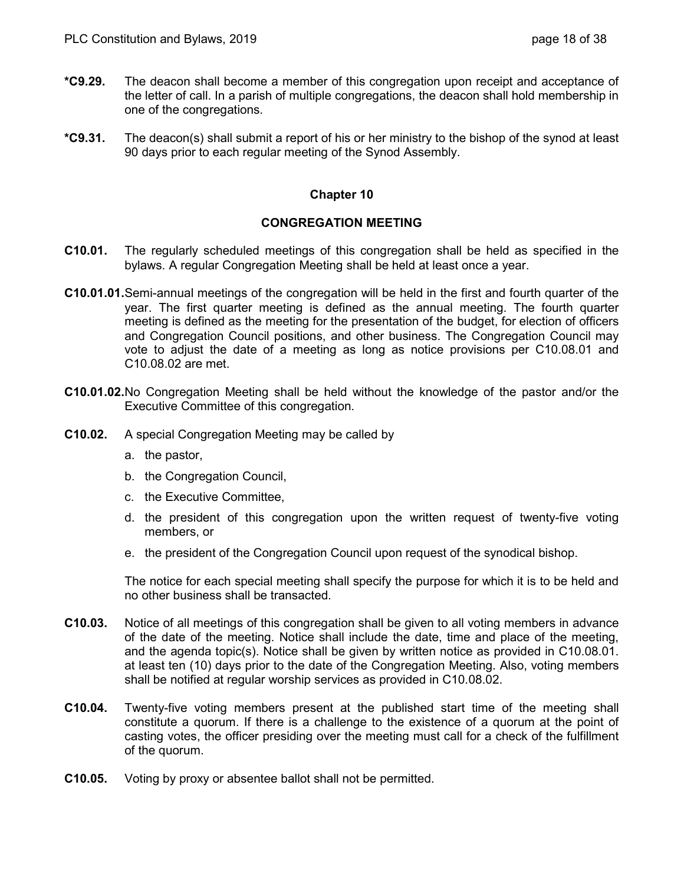- \*C9.29. The deacon shall become a member of this congregation upon receipt and acceptance of the letter of call. In a parish of multiple congregations, the deacon shall hold membership in one of the congregations.
- \*C9.31. The deacon(s) shall submit a report of his or her ministry to the bishop of the synod at least 90 days prior to each regular meeting of the Synod Assembly.

#### CONGREGATION MEETING

- C10.01. The regularly scheduled meetings of this congregation shall be held as specified in the bylaws. A regular Congregation Meeting shall be held at least once a year.
- C10.01.01. Semi-annual meetings of the congregation will be held in the first and fourth quarter of the year. The first quarter meeting is defined as the annual meeting. The fourth quarter meeting is defined as the meeting for the presentation of the budget, for election of officers and Congregation Council positions, and other business. The Congregation Council may vote to adjust the date of a meeting as long as notice provisions per C10.08.01 and C10.08.02 are met.
- C10.01.02. No Congregation Meeting shall be held without the knowledge of the pastor and/or the Executive Committee of this congregation.
- C10.02. A special Congregation Meeting may be called by
	- a. the pastor,
	- b. the Congregation Council,
	- c. the Executive Committee,
	- d. the president of this congregation upon the written request of twenty-five voting members, or
	- e. the president of the Congregation Council upon request of the synodical bishop.

The notice for each special meeting shall specify the purpose for which it is to be held and no other business shall be transacted.

- C10.03. Notice of all meetings of this congregation shall be given to all voting members in advance of the date of the meeting. Notice shall include the date, time and place of the meeting, and the agenda topic(s). Notice shall be given by written notice as provided in C10.08.01. at least ten (10) days prior to the date of the Congregation Meeting. Also, voting members shall be notified at regular worship services as provided in C10.08.02.
- C10.04. Twenty-five voting members present at the published start time of the meeting shall constitute a quorum. If there is a challenge to the existence of a quorum at the point of casting votes, the officer presiding over the meeting must call for a check of the fulfillment of the quorum.
- C10.05. Voting by proxy or absentee ballot shall not be permitted.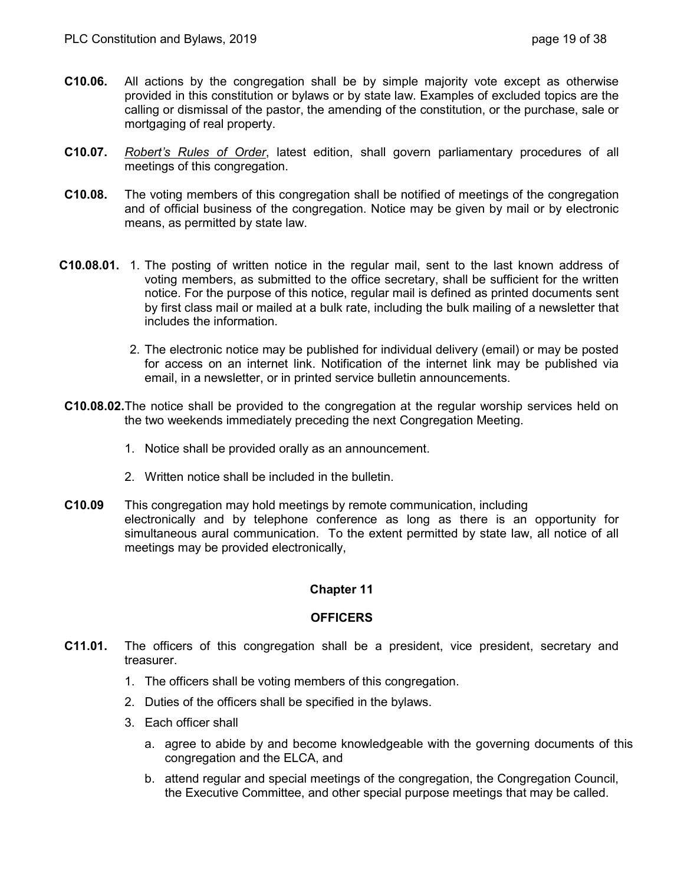- C10.06. All actions by the congregation shall be by simple majority vote except as otherwise provided in this constitution or bylaws or by state law. Examples of excluded topics are the calling or dismissal of the pastor, the amending of the constitution, or the purchase, sale or mortgaging of real property.
- C10.07. Robert's Rules of Order, latest edition, shall govern parliamentary procedures of all meetings of this congregation.
- C10.08. The voting members of this congregation shall be notified of meetings of the congregation and of official business of the congregation. Notice may be given by mail or by electronic means, as permitted by state law.
- C10.08.01. 1. The posting of written notice in the regular mail, sent to the last known address of voting members, as submitted to the office secretary, shall be sufficient for the written notice. For the purpose of this notice, regular mail is defined as printed documents sent by first class mail or mailed at a bulk rate, including the bulk mailing of a newsletter that includes the information.
	- 2. The electronic notice may be published for individual delivery (email) or may be posted for access on an internet link. Notification of the internet link may be published via email, in a newsletter, or in printed service bulletin announcements.
- C10.08.02. The notice shall be provided to the congregation at the regular worship services held on the two weekends immediately preceding the next Congregation Meeting.
	- 1. Notice shall be provided orally as an announcement.
	- 2. Written notice shall be included in the bulletin.
- C10.09 This congregation may hold meetings by remote communication, including electronically and by telephone conference as long as there is an opportunity for simultaneous aural communication. To the extent permitted by state law, all notice of all meetings may be provided electronically,

#### **OFFICERS**

- C11.01. The officers of this congregation shall be a president, vice president, secretary and treasurer.
	- 1. The officers shall be voting members of this congregation.
	- 2. Duties of the officers shall be specified in the bylaws.
	- 3. Each officer shall
		- a. agree to abide by and become knowledgeable with the governing documents of this congregation and the ELCA, and
		- b. attend regular and special meetings of the congregation, the Congregation Council, the Executive Committee, and other special purpose meetings that may be called.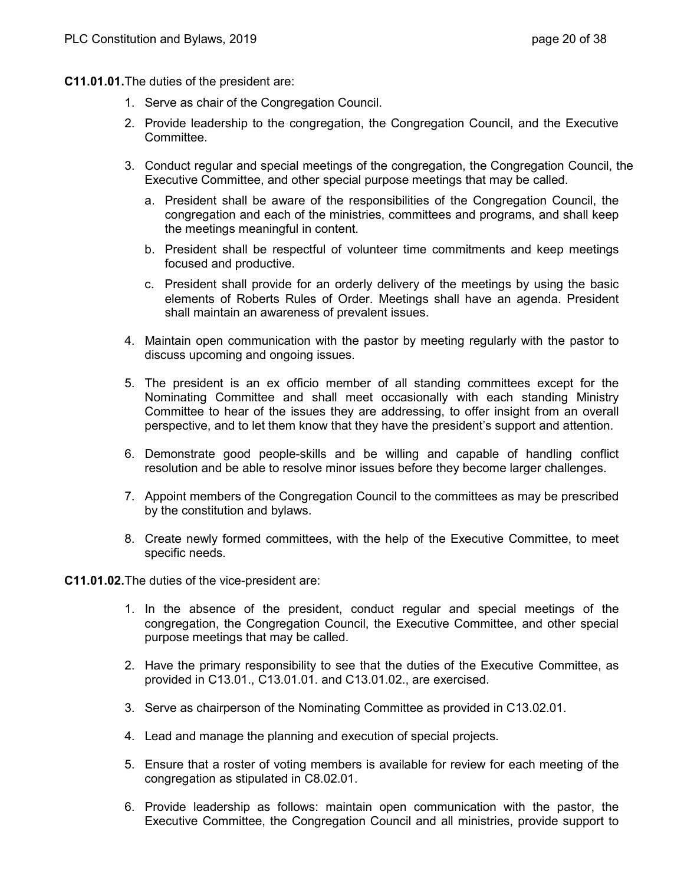C11.01.01. The duties of the president are:

- 1. Serve as chair of the Congregation Council.
- 2. Provide leadership to the congregation, the Congregation Council, and the Executive Committee.
- 3. Conduct regular and special meetings of the congregation, the Congregation Council, the Executive Committee, and other special purpose meetings that may be called.
	- a. President shall be aware of the responsibilities of the Congregation Council, the congregation and each of the ministries, committees and programs, and shall keep the meetings meaningful in content.
	- b. President shall be respectful of volunteer time commitments and keep meetings focused and productive.
	- c. President shall provide for an orderly delivery of the meetings by using the basic elements of Roberts Rules of Order. Meetings shall have an agenda. President shall maintain an awareness of prevalent issues.
- 4. Maintain open communication with the pastor by meeting regularly with the pastor to discuss upcoming and ongoing issues.
- 5. The president is an ex officio member of all standing committees except for the Nominating Committee and shall meet occasionally with each standing Ministry Committee to hear of the issues they are addressing, to offer insight from an overall perspective, and to let them know that they have the president's support and attention.
- 6. Demonstrate good people-skills and be willing and capable of handling conflict resolution and be able to resolve minor issues before they become larger challenges.
- 7. Appoint members of the Congregation Council to the committees as may be prescribed by the constitution and bylaws.
- 8. Create newly formed committees, with the help of the Executive Committee, to meet specific needs.

C11.01.02. The duties of the vice-president are:

- 1. In the absence of the president, conduct regular and special meetings of the congregation, the Congregation Council, the Executive Committee, and other special purpose meetings that may be called.
- 2. Have the primary responsibility to see that the duties of the Executive Committee, as provided in C13.01., C13.01.01. and C13.01.02., are exercised.
- 3. Serve as chairperson of the Nominating Committee as provided in C13.02.01.
- 4. Lead and manage the planning and execution of special projects.
- 5. Ensure that a roster of voting members is available for review for each meeting of the congregation as stipulated in C8.02.01.
- 6. Provide leadership as follows: maintain open communication with the pastor, the Executive Committee, the Congregation Council and all ministries, provide support to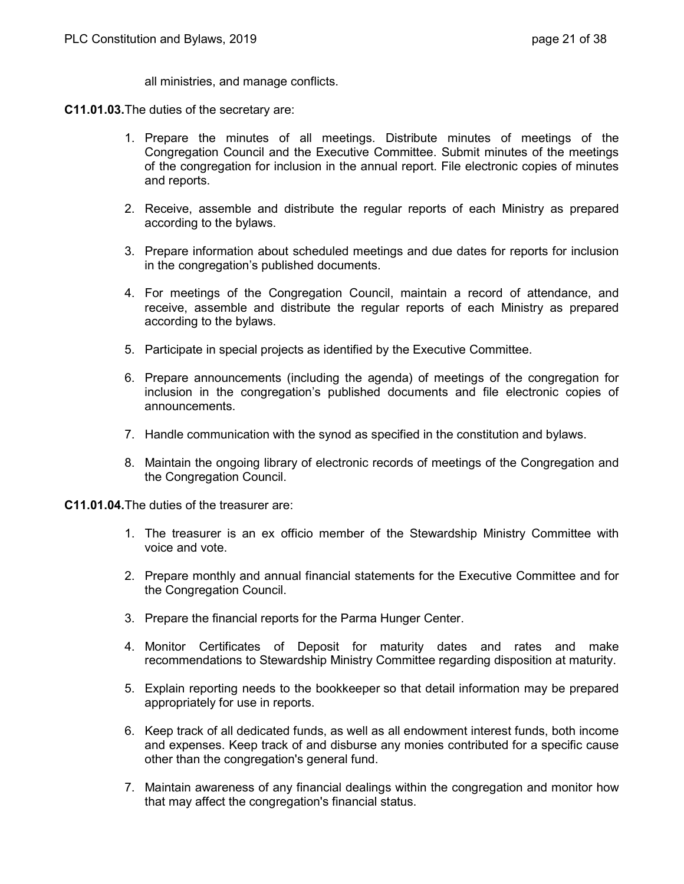all ministries, and manage conflicts.

- C11.01.03. The duties of the secretary are:
	- 1. Prepare the minutes of all meetings. Distribute minutes of meetings of the Congregation Council and the Executive Committee. Submit minutes of the meetings of the congregation for inclusion in the annual report. File electronic copies of minutes and reports.
	- 2. Receive, assemble and distribute the regular reports of each Ministry as prepared according to the bylaws.
	- 3. Prepare information about scheduled meetings and due dates for reports for inclusion in the congregation's published documents.
	- 4. For meetings of the Congregation Council, maintain a record of attendance, and receive, assemble and distribute the regular reports of each Ministry as prepared according to the bylaws.
	- 5. Participate in special projects as identified by the Executive Committee.
	- 6. Prepare announcements (including the agenda) of meetings of the congregation for inclusion in the congregation's published documents and file electronic copies of announcements.
	- 7. Handle communication with the synod as specified in the constitution and bylaws.
	- 8. Maintain the ongoing library of electronic records of meetings of the Congregation and the Congregation Council.
- C11.01.04. The duties of the treasurer are:
	- 1. The treasurer is an ex officio member of the Stewardship Ministry Committee with voice and vote.
	- 2. Prepare monthly and annual financial statements for the Executive Committee and for the Congregation Council.
	- 3. Prepare the financial reports for the Parma Hunger Center.
	- 4. Monitor Certificates of Deposit for maturity dates and rates and make recommendations to Stewardship Ministry Committee regarding disposition at maturity.
	- 5. Explain reporting needs to the bookkeeper so that detail information may be prepared appropriately for use in reports.
	- 6. Keep track of all dedicated funds, as well as all endowment interest funds, both income and expenses. Keep track of and disburse any monies contributed for a specific cause other than the congregation's general fund.
	- 7. Maintain awareness of any financial dealings within the congregation and monitor how that may affect the congregation's financial status.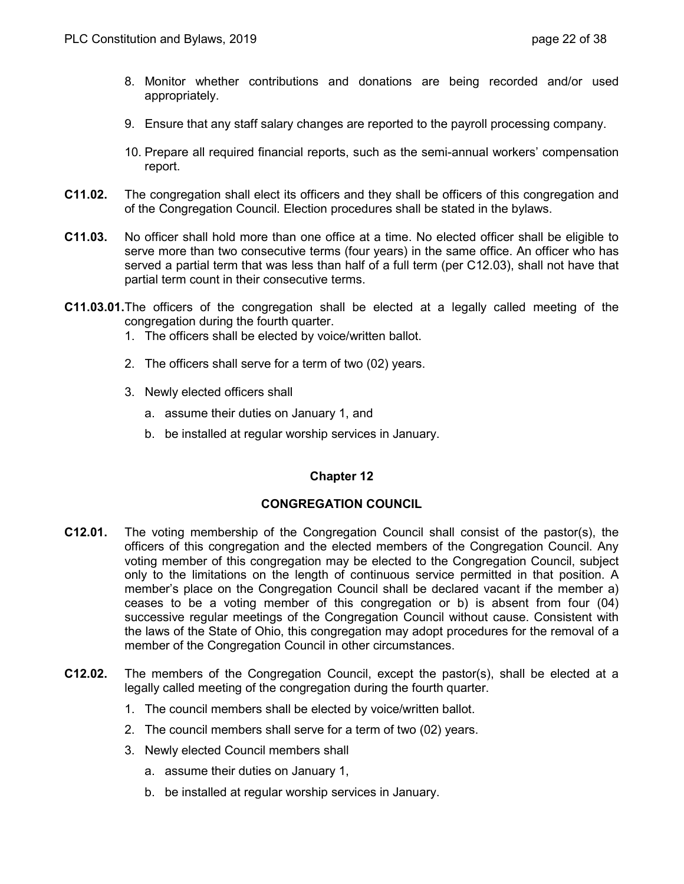- 8. Monitor whether contributions and donations are being recorded and/or used appropriately.
- 9. Ensure that any staff salary changes are reported to the payroll processing company.
- 10. Prepare all required financial reports, such as the semi-annual workers' compensation report.
- C11.02. The congregation shall elect its officers and they shall be officers of this congregation and of the Congregation Council. Election procedures shall be stated in the bylaws.
- C11.03. No officer shall hold more than one office at a time. No elected officer shall be eligible to serve more than two consecutive terms (four years) in the same office. An officer who has served a partial term that was less than half of a full term (per C12.03), shall not have that partial term count in their consecutive terms.
- C11.03.01. The officers of the congregation shall be elected at a legally called meeting of the congregation during the fourth quarter.
	- 1. The officers shall be elected by voice/written ballot.
	- 2. The officers shall serve for a term of two (02) years.
	- 3. Newly elected officers shall
		- a. assume their duties on January 1, and
		- b. be installed at regular worship services in January.

#### CONGREGATION COUNCIL

- C12.01. The voting membership of the Congregation Council shall consist of the pastor(s), the officers of this congregation and the elected members of the Congregation Council. Any voting member of this congregation may be elected to the Congregation Council, subject only to the limitations on the length of continuous service permitted in that position. A member's place on the Congregation Council shall be declared vacant if the member a) ceases to be a voting member of this congregation or b) is absent from four (04) successive regular meetings of the Congregation Council without cause. Consistent with the laws of the State of Ohio, this congregation may adopt procedures for the removal of a member of the Congregation Council in other circumstances.
- C12.02. The members of the Congregation Council, except the pastor(s), shall be elected at a legally called meeting of the congregation during the fourth quarter.
	- 1. The council members shall be elected by voice/written ballot.
	- 2. The council members shall serve for a term of two (02) years.
	- 3. Newly elected Council members shall
		- a. assume their duties on January 1,
		- b. be installed at regular worship services in January.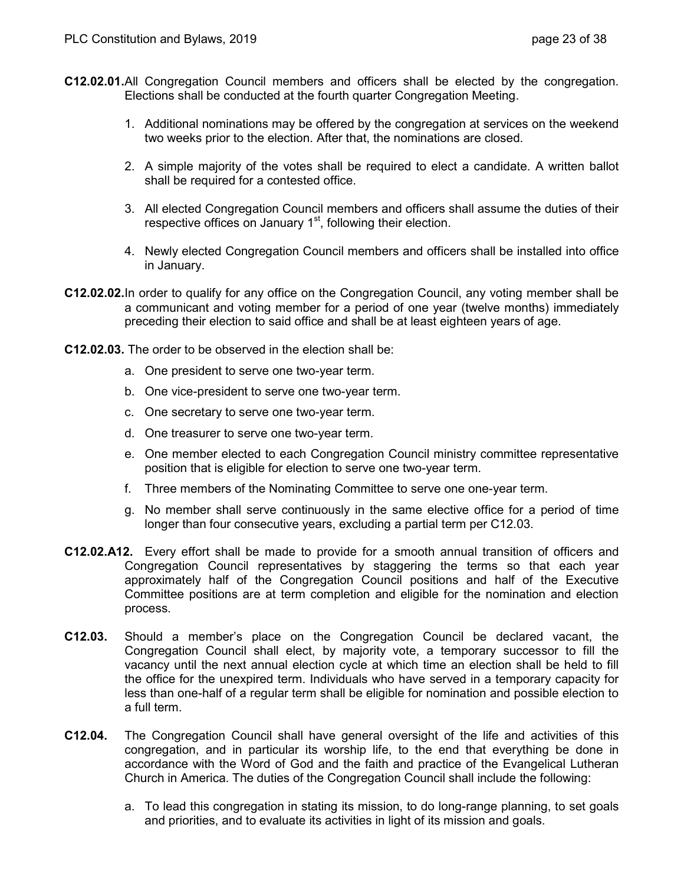- C12.02.01. All Congregation Council members and officers shall be elected by the congregation. Elections shall be conducted at the fourth quarter Congregation Meeting.
	- 1. Additional nominations may be offered by the congregation at services on the weekend two weeks prior to the election. After that, the nominations are closed.
	- 2. A simple majority of the votes shall be required to elect a candidate. A written ballot shall be required for a contested office.
	- 3. All elected Congregation Council members and officers shall assume the duties of their respective offices on January 1<sup>st</sup>, following their election.
	- 4. Newly elected Congregation Council members and officers shall be installed into office in January.
- C12.02.02. In order to qualify for any office on the Congregation Council, any voting member shall be a communicant and voting member for a period of one year (twelve months) immediately preceding their election to said office and shall be at least eighteen years of age.
- C12.02.03. The order to be observed in the election shall be:
	- a. One president to serve one two-year term.
	- b. One vice-president to serve one two-year term.
	- c. One secretary to serve one two-year term.
	- d. One treasurer to serve one two-year term.
	- e. One member elected to each Congregation Council ministry committee representative position that is eligible for election to serve one two-year term.
	- f. Three members of the Nominating Committee to serve one one-year term.
	- g. No member shall serve continuously in the same elective office for a period of time longer than four consecutive years, excluding a partial term per C12.03.
- C12.02.A12. Every effort shall be made to provide for a smooth annual transition of officers and Congregation Council representatives by staggering the terms so that each year approximately half of the Congregation Council positions and half of the Executive Committee positions are at term completion and eligible for the nomination and election process.
- C12.03. Should a member's place on the Congregation Council be declared vacant, the Congregation Council shall elect, by majority vote, a temporary successor to fill the vacancy until the next annual election cycle at which time an election shall be held to fill the office for the unexpired term. Individuals who have served in a temporary capacity for less than one-half of a regular term shall be eligible for nomination and possible election to a full term.
- C12.04. The Congregation Council shall have general oversight of the life and activities of this congregation, and in particular its worship life, to the end that everything be done in accordance with the Word of God and the faith and practice of the Evangelical Lutheran Church in America. The duties of the Congregation Council shall include the following:
	- a. To lead this congregation in stating its mission, to do long-range planning, to set goals and priorities, and to evaluate its activities in light of its mission and goals.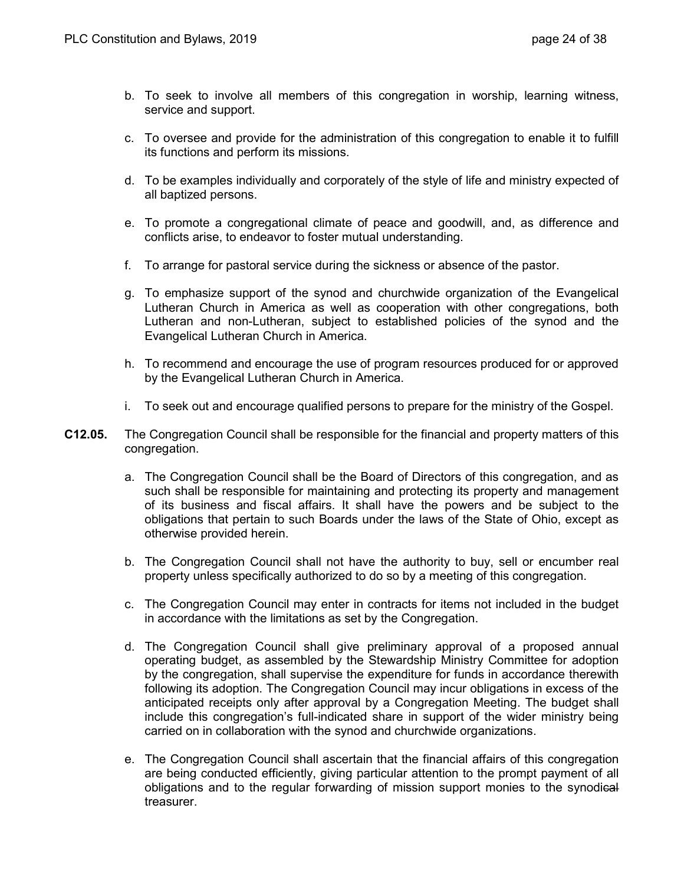- b. To seek to involve all members of this congregation in worship, learning witness, service and support.
- c. To oversee and provide for the administration of this congregation to enable it to fulfill its functions and perform its missions.
- d. To be examples individually and corporately of the style of life and ministry expected of all baptized persons.
- e. To promote a congregational climate of peace and goodwill, and, as difference and conflicts arise, to endeavor to foster mutual understanding.
- f. To arrange for pastoral service during the sickness or absence of the pastor.
- g. To emphasize support of the synod and churchwide organization of the Evangelical Lutheran Church in America as well as cooperation with other congregations, both Lutheran and non-Lutheran, subject to established policies of the synod and the Evangelical Lutheran Church in America.
- h. To recommend and encourage the use of program resources produced for or approved by the Evangelical Lutheran Church in America.
- i. To seek out and encourage qualified persons to prepare for the ministry of the Gospel.
- C12.05. The Congregation Council shall be responsible for the financial and property matters of this congregation.
	- a. The Congregation Council shall be the Board of Directors of this congregation, and as such shall be responsible for maintaining and protecting its property and management of its business and fiscal affairs. It shall have the powers and be subject to the obligations that pertain to such Boards under the laws of the State of Ohio, except as otherwise provided herein.
	- b. The Congregation Council shall not have the authority to buy, sell or encumber real property unless specifically authorized to do so by a meeting of this congregation.
	- c. The Congregation Council may enter in contracts for items not included in the budget in accordance with the limitations as set by the Congregation.
	- d. The Congregation Council shall give preliminary approval of a proposed annual operating budget, as assembled by the Stewardship Ministry Committee for adoption by the congregation, shall supervise the expenditure for funds in accordance therewith following its adoption. The Congregation Council may incur obligations in excess of the anticipated receipts only after approval by a Congregation Meeting. The budget shall include this congregation's full-indicated share in support of the wider ministry being carried on in collaboration with the synod and churchwide organizations.
	- e. The Congregation Council shall ascertain that the financial affairs of this congregation are being conducted efficiently, giving particular attention to the prompt payment of all obligations and to the regular forwarding of mission support monies to the synodieal treasurer.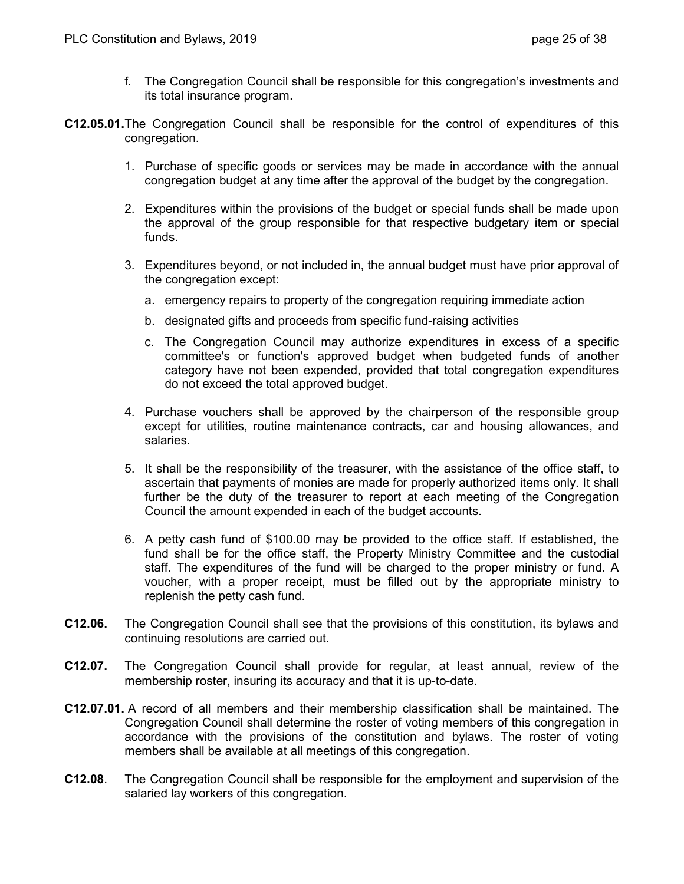- f. The Congregation Council shall be responsible for this congregation's investments and its total insurance program.
- C12.05.01. The Congregation Council shall be responsible for the control of expenditures of this congregation.
	- 1. Purchase of specific goods or services may be made in accordance with the annual congregation budget at any time after the approval of the budget by the congregation.
	- 2. Expenditures within the provisions of the budget or special funds shall be made upon the approval of the group responsible for that respective budgetary item or special funds.
	- 3. Expenditures beyond, or not included in, the annual budget must have prior approval of the congregation except:
		- a. emergency repairs to property of the congregation requiring immediate action
		- b. designated gifts and proceeds from specific fund-raising activities
		- c. The Congregation Council may authorize expenditures in excess of a specific committee's or function's approved budget when budgeted funds of another category have not been expended, provided that total congregation expenditures do not exceed the total approved budget.
	- 4. Purchase vouchers shall be approved by the chairperson of the responsible group except for utilities, routine maintenance contracts, car and housing allowances, and salaries.
	- 5. It shall be the responsibility of the treasurer, with the assistance of the office staff, to ascertain that payments of monies are made for properly authorized items only. It shall further be the duty of the treasurer to report at each meeting of the Congregation Council the amount expended in each of the budget accounts.
	- 6. A petty cash fund of \$100.00 may be provided to the office staff. If established, the fund shall be for the office staff, the Property Ministry Committee and the custodial staff. The expenditures of the fund will be charged to the proper ministry or fund. A voucher, with a proper receipt, must be filled out by the appropriate ministry to replenish the petty cash fund.
- C12.06. The Congregation Council shall see that the provisions of this constitution, its bylaws and continuing resolutions are carried out.
- C12.07. The Congregation Council shall provide for regular, at least annual, review of the membership roster, insuring its accuracy and that it is up-to-date.
- C12.07.01. A record of all members and their membership classification shall be maintained. The Congregation Council shall determine the roster of voting members of this congregation in accordance with the provisions of the constitution and bylaws. The roster of voting members shall be available at all meetings of this congregation.
- C12.08. The Congregation Council shall be responsible for the employment and supervision of the salaried lay workers of this congregation.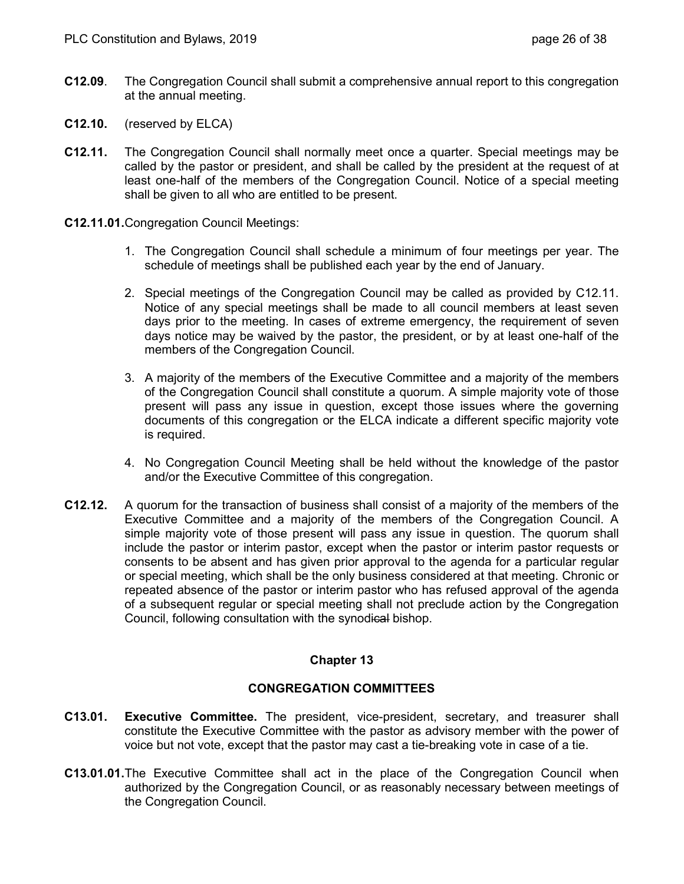- C12.09. The Congregation Council shall submit a comprehensive annual report to this congregation at the annual meeting.
- C12.10. (reserved by ELCA)
- C12.11. The Congregation Council shall normally meet once a quarter. Special meetings may be called by the pastor or president, and shall be called by the president at the request of at least one-half of the members of the Congregation Council. Notice of a special meeting shall be given to all who are entitled to be present.
- C12.11.01. Congregation Council Meetings:
	- 1. The Congregation Council shall schedule a minimum of four meetings per year. The schedule of meetings shall be published each year by the end of January.
	- 2. Special meetings of the Congregation Council may be called as provided by C12.11. Notice of any special meetings shall be made to all council members at least seven days prior to the meeting. In cases of extreme emergency, the requirement of seven days notice may be waived by the pastor, the president, or by at least one-half of the members of the Congregation Council.
	- 3. A majority of the members of the Executive Committee and a majority of the members of the Congregation Council shall constitute a quorum. A simple majority vote of those present will pass any issue in question, except those issues where the governing documents of this congregation or the ELCA indicate a different specific majority vote is required.
	- 4. No Congregation Council Meeting shall be held without the knowledge of the pastor and/or the Executive Committee of this congregation.
- C12.12. A quorum for the transaction of business shall consist of a majority of the members of the Executive Committee and a majority of the members of the Congregation Council. A simple majority vote of those present will pass any issue in question. The quorum shall include the pastor or interim pastor, except when the pastor or interim pastor requests or consents to be absent and has given prior approval to the agenda for a particular regular or special meeting, which shall be the only business considered at that meeting. Chronic or repeated absence of the pastor or interim pastor who has refused approval of the agenda of a subsequent regular or special meeting shall not preclude action by the Congregation Council, following consultation with the synodical bishop.

## CONGREGATION COMMITTEES

- C13.01. Executive Committee. The president, vice-president, secretary, and treasurer shall constitute the Executive Committee with the pastor as advisory member with the power of voice but not vote, except that the pastor may cast a tie-breaking vote in case of a tie.
- C13.01.01. The Executive Committee shall act in the place of the Congregation Council when authorized by the Congregation Council, or as reasonably necessary between meetings of the Congregation Council.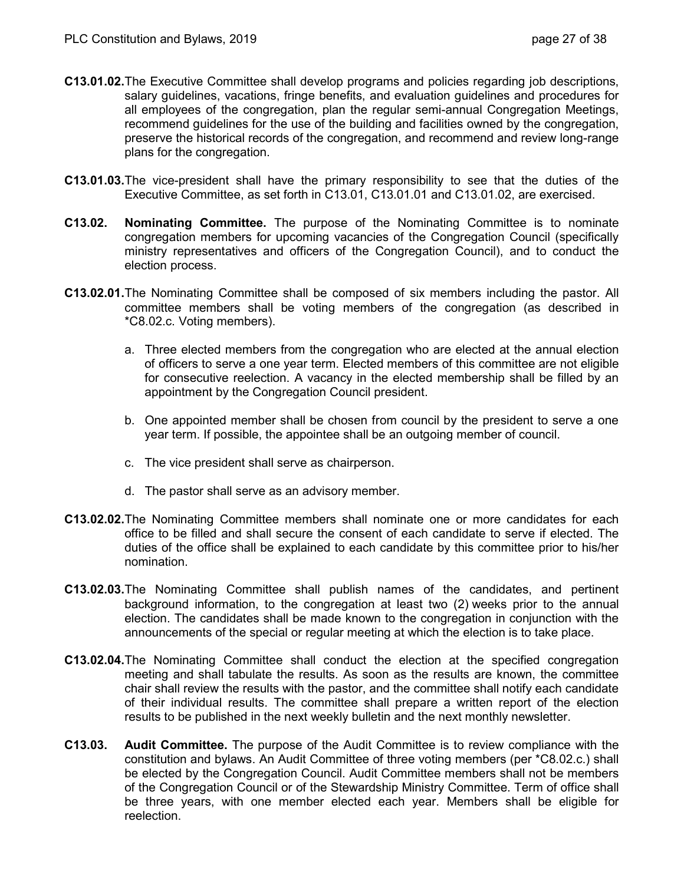- C13.01.02. The Executive Committee shall develop programs and policies regarding job descriptions, salary guidelines, vacations, fringe benefits, and evaluation guidelines and procedures for all employees of the congregation, plan the regular semi-annual Congregation Meetings, recommend guidelines for the use of the building and facilities owned by the congregation, preserve the historical records of the congregation, and recommend and review long-range plans for the congregation.
- C13.01.03. The vice-president shall have the primary responsibility to see that the duties of the Executive Committee, as set forth in C13.01, C13.01.01 and C13.01.02, are exercised.
- C13.02. Nominating Committee. The purpose of the Nominating Committee is to nominate congregation members for upcoming vacancies of the Congregation Council (specifically ministry representatives and officers of the Congregation Council), and to conduct the election process.
- C13.02.01. The Nominating Committee shall be composed of six members including the pastor. All committee members shall be voting members of the congregation (as described in \*C8.02.c. Voting members).
	- a. Three elected members from the congregation who are elected at the annual election of officers to serve a one year term. Elected members of this committee are not eligible for consecutive reelection. A vacancy in the elected membership shall be filled by an appointment by the Congregation Council president.
	- b. One appointed member shall be chosen from council by the president to serve a one year term. If possible, the appointee shall be an outgoing member of council.
	- c. The vice president shall serve as chairperson.
	- d. The pastor shall serve as an advisory member.
- C13.02.02. The Nominating Committee members shall nominate one or more candidates for each office to be filled and shall secure the consent of each candidate to serve if elected. The duties of the office shall be explained to each candidate by this committee prior to his/her nomination.
- C13.02.03. The Nominating Committee shall publish names of the candidates, and pertinent background information, to the congregation at least two (2) weeks prior to the annual election. The candidates shall be made known to the congregation in conjunction with the announcements of the special or regular meeting at which the election is to take place.
- C13.02.04. The Nominating Committee shall conduct the election at the specified congregation meeting and shall tabulate the results. As soon as the results are known, the committee chair shall review the results with the pastor, and the committee shall notify each candidate of their individual results. The committee shall prepare a written report of the election results to be published in the next weekly bulletin and the next monthly newsletter.
- C13.03. Audit Committee. The purpose of the Audit Committee is to review compliance with the constitution and bylaws. An Audit Committee of three voting members (per \*C8.02.c.) shall be elected by the Congregation Council. Audit Committee members shall not be members of the Congregation Council or of the Stewardship Ministry Committee. Term of office shall be three years, with one member elected each year. Members shall be eligible for reelection.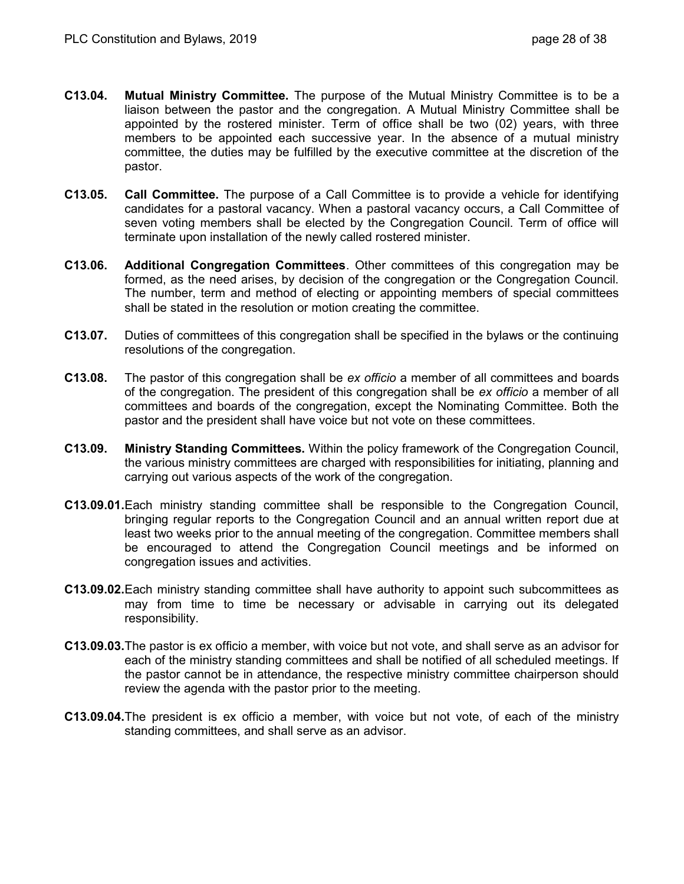- C13.04. Mutual Ministry Committee. The purpose of the Mutual Ministry Committee is to be a liaison between the pastor and the congregation. A Mutual Ministry Committee shall be appointed by the rostered minister. Term of office shall be two (02) years, with three members to be appointed each successive year. In the absence of a mutual ministry committee, the duties may be fulfilled by the executive committee at the discretion of the pastor.
- C13.05. Call Committee. The purpose of a Call Committee is to provide a vehicle for identifying candidates for a pastoral vacancy. When a pastoral vacancy occurs, a Call Committee of seven voting members shall be elected by the Congregation Council. Term of office will terminate upon installation of the newly called rostered minister.
- C13.06. Additional Congregation Committees. Other committees of this congregation may be formed, as the need arises, by decision of the congregation or the Congregation Council. The number, term and method of electing or appointing members of special committees shall be stated in the resolution or motion creating the committee.
- C13.07. Duties of committees of this congregation shall be specified in the bylaws or the continuing resolutions of the congregation.
- C13.08. The pastor of this congregation shall be ex officio a member of all committees and boards of the congregation. The president of this congregation shall be ex officio a member of all committees and boards of the congregation, except the Nominating Committee. Both the pastor and the president shall have voice but not vote on these committees.
- C13.09. Ministry Standing Committees. Within the policy framework of the Congregation Council, the various ministry committees are charged with responsibilities for initiating, planning and carrying out various aspects of the work of the congregation.
- C13.09.01. Each ministry standing committee shall be responsible to the Congregation Council, bringing regular reports to the Congregation Council and an annual written report due at least two weeks prior to the annual meeting of the congregation. Committee members shall be encouraged to attend the Congregation Council meetings and be informed on congregation issues and activities.
- C13.09.02. Each ministry standing committee shall have authority to appoint such subcommittees as may from time to time be necessary or advisable in carrying out its delegated responsibility.
- C13.09.03. The pastor is ex officio a member, with voice but not vote, and shall serve as an advisor for each of the ministry standing committees and shall be notified of all scheduled meetings. If the pastor cannot be in attendance, the respective ministry committee chairperson should review the agenda with the pastor prior to the meeting.
- C13.09.04. The president is ex officio a member, with voice but not vote, of each of the ministry standing committees, and shall serve as an advisor.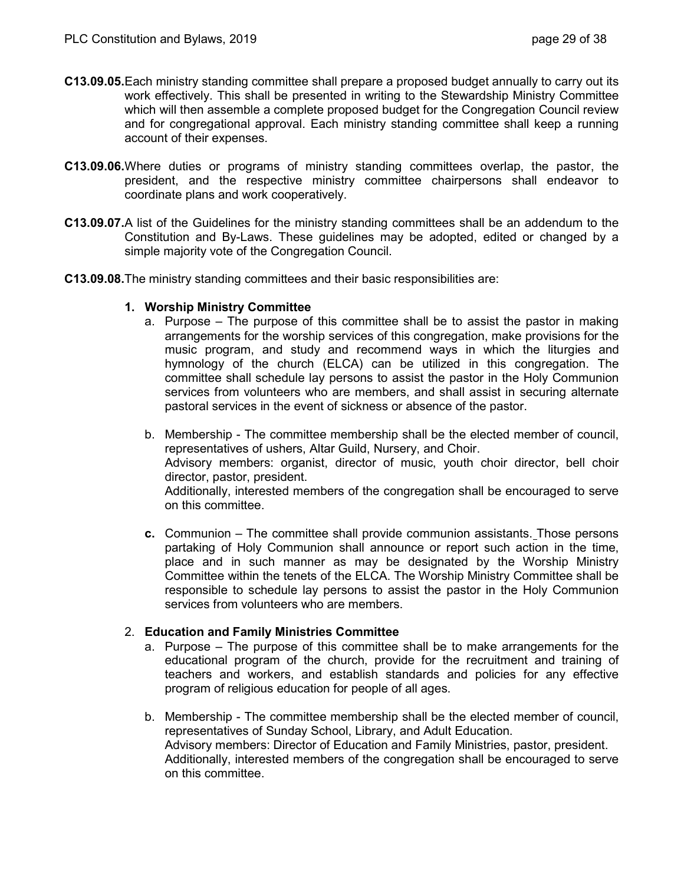- C13.09.05. Each ministry standing committee shall prepare a proposed budget annually to carry out its work effectively. This shall be presented in writing to the Stewardship Ministry Committee which will then assemble a complete proposed budget for the Congregation Council review and for congregational approval. Each ministry standing committee shall keep a running account of their expenses.
- C13.09.06. Where duties or programs of ministry standing committees overlap, the pastor, the president, and the respective ministry committee chairpersons shall endeavor to coordinate plans and work cooperatively.
- C13.09.07. A list of the Guidelines for the ministry standing committees shall be an addendum to the Constitution and By-Laws. These guidelines may be adopted, edited or changed by a simple majority vote of the Congregation Council.
- C13.09.08.The ministry standing committees and their basic responsibilities are:

### 1. Worship Ministry Committee

- a. Purpose The purpose of this committee shall be to assist the pastor in making arrangements for the worship services of this congregation, make provisions for the music program, and study and recommend ways in which the liturgies and hymnology of the church (ELCA) can be utilized in this congregation. The committee shall schedule lay persons to assist the pastor in the Holy Communion services from volunteers who are members, and shall assist in securing alternate pastoral services in the event of sickness or absence of the pastor.
- b. Membership The committee membership shall be the elected member of council, representatives of ushers, Altar Guild, Nursery, and Choir. Advisory members: organist, director of music, youth choir director, bell choir director, pastor, president. Additionally, interested members of the congregation shall be encouraged to serve on this committee.
- c. Communion The committee shall provide communion assistants. Those persons partaking of Holy Communion shall announce or report such action in the time, place and in such manner as may be designated by the Worship Ministry Committee within the tenets of the ELCA. The Worship Ministry Committee shall be responsible to schedule lay persons to assist the pastor in the Holy Communion services from volunteers who are members.

#### 2. Education and Family Ministries Committee

- a. Purpose The purpose of this committee shall be to make arrangements for the educational program of the church, provide for the recruitment and training of teachers and workers, and establish standards and policies for any effective program of religious education for people of all ages.
- b. Membership The committee membership shall be the elected member of council, representatives of Sunday School, Library, and Adult Education. Advisory members: Director of Education and Family Ministries, pastor, president. Additionally, interested members of the congregation shall be encouraged to serve on this committee.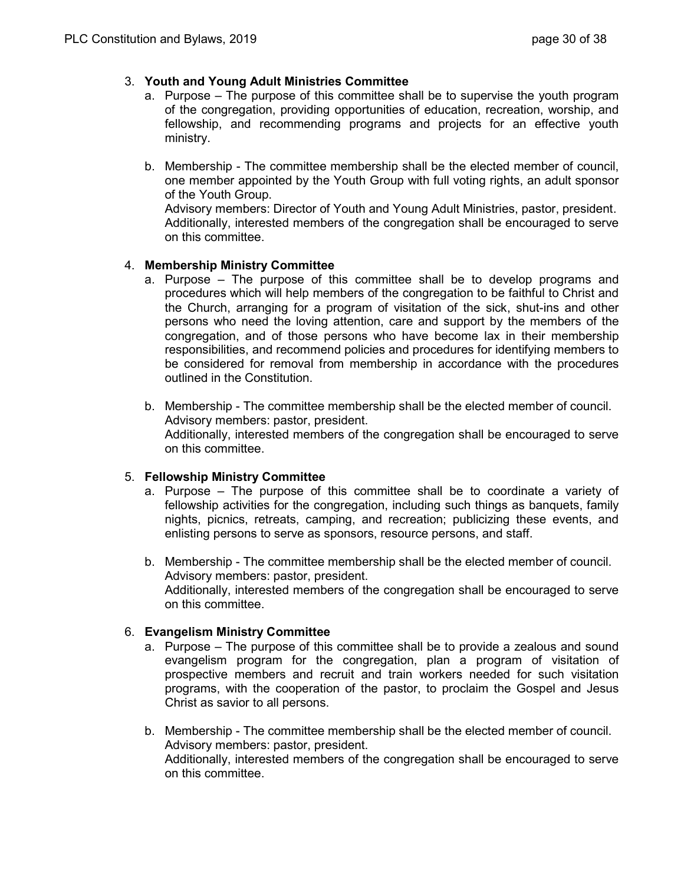## 3. Youth and Young Adult Ministries Committee

- a. Purpose The purpose of this committee shall be to supervise the youth program of the congregation, providing opportunities of education, recreation, worship, and fellowship, and recommending programs and projects for an effective youth ministry.
- b. Membership The committee membership shall be the elected member of council, one member appointed by the Youth Group with full voting rights, an adult sponsor of the Youth Group.

Advisory members: Director of Youth and Young Adult Ministries, pastor, president. Additionally, interested members of the congregation shall be encouraged to serve on this committee.

## 4. Membership Ministry Committee

- a. Purpose The purpose of this committee shall be to develop programs and procedures which will help members of the congregation to be faithful to Christ and the Church, arranging for a program of visitation of the sick, shut-ins and other persons who need the loving attention, care and support by the members of the congregation, and of those persons who have become lax in their membership responsibilities, and recommend policies and procedures for identifying members to be considered for removal from membership in accordance with the procedures outlined in the Constitution.
- b. Membership The committee membership shall be the elected member of council. Advisory members: pastor, president. Additionally, interested members of the congregation shall be encouraged to serve on this committee.

#### 5. Fellowship Ministry Committee

- a. Purpose The purpose of this committee shall be to coordinate a variety of fellowship activities for the congregation, including such things as banquets, family nights, picnics, retreats, camping, and recreation; publicizing these events, and enlisting persons to serve as sponsors, resource persons, and staff.
- b. Membership The committee membership shall be the elected member of council. Advisory members: pastor, president. Additionally, interested members of the congregation shall be encouraged to serve on this committee.

## 6. Evangelism Ministry Committee

- a. Purpose The purpose of this committee shall be to provide a zealous and sound evangelism program for the congregation, plan a program of visitation of prospective members and recruit and train workers needed for such visitation programs, with the cooperation of the pastor, to proclaim the Gospel and Jesus Christ as savior to all persons.
- b. Membership The committee membership shall be the elected member of council. Advisory members: pastor, president. Additionally, interested members of the congregation shall be encouraged to serve on this committee.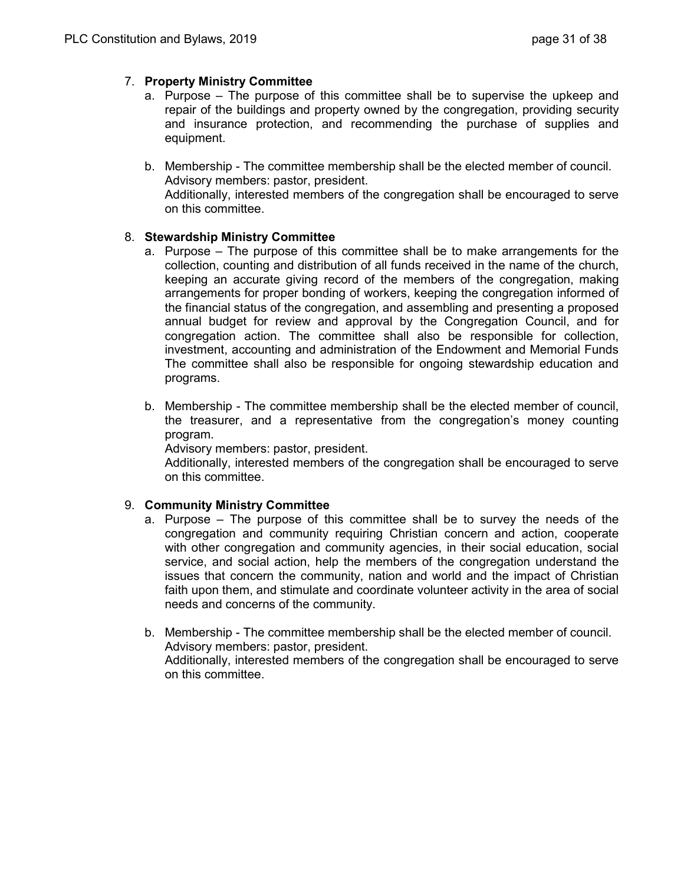## 7. Property Ministry Committee

- a. Purpose The purpose of this committee shall be to supervise the upkeep and repair of the buildings and property owned by the congregation, providing security and insurance protection, and recommending the purchase of supplies and equipment.
- b. Membership The committee membership shall be the elected member of council. Advisory members: pastor, president. Additionally, interested members of the congregation shall be encouraged to serve on this committee.

## 8. Stewardship Ministry Committee

- a. Purpose The purpose of this committee shall be to make arrangements for the collection, counting and distribution of all funds received in the name of the church, keeping an accurate giving record of the members of the congregation, making arrangements for proper bonding of workers, keeping the congregation informed of the financial status of the congregation, and assembling and presenting a proposed annual budget for review and approval by the Congregation Council, and for congregation action. The committee shall also be responsible for collection, investment, accounting and administration of the Endowment and Memorial Funds The committee shall also be responsible for ongoing stewardship education and programs.
- b. Membership The committee membership shall be the elected member of council, the treasurer, and a representative from the congregation's money counting program.

Advisory members: pastor, president.

Additionally, interested members of the congregation shall be encouraged to serve on this committee.

## 9. Community Ministry Committee

- a. Purpose The purpose of this committee shall be to survey the needs of the congregation and community requiring Christian concern and action, cooperate with other congregation and community agencies, in their social education, social service, and social action, help the members of the congregation understand the issues that concern the community, nation and world and the impact of Christian faith upon them, and stimulate and coordinate volunteer activity in the area of social needs and concerns of the community.
- b. Membership The committee membership shall be the elected member of council. Advisory members: pastor, president. Additionally, interested members of the congregation shall be encouraged to serve on this committee.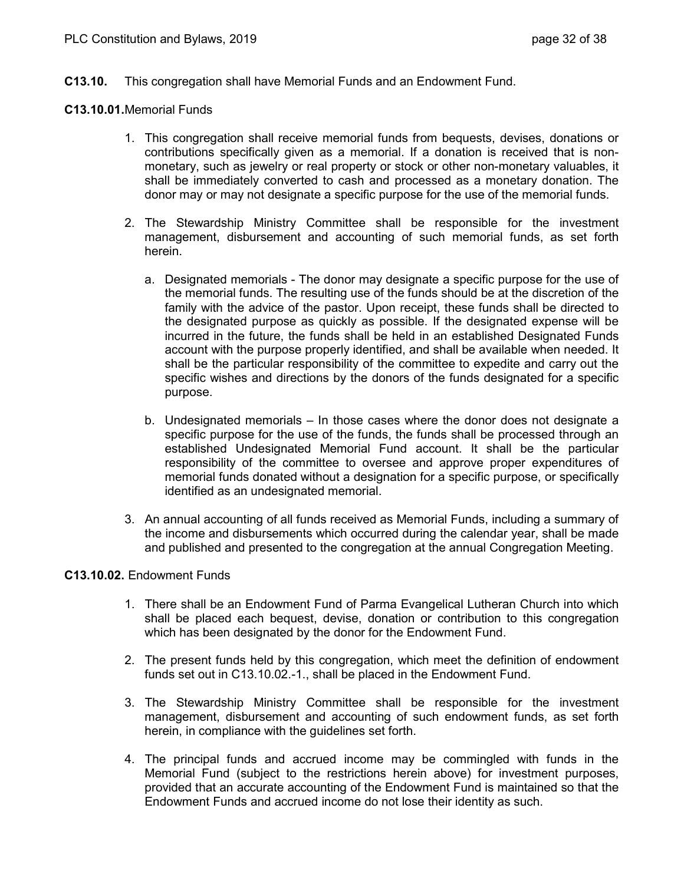C13.10. This congregation shall have Memorial Funds and an Endowment Fund.

#### C13.10.01. Memorial Funds

- 1. This congregation shall receive memorial funds from bequests, devises, donations or contributions specifically given as a memorial. If a donation is received that is nonmonetary, such as jewelry or real property or stock or other non-monetary valuables, it shall be immediately converted to cash and processed as a monetary donation. The donor may or may not designate a specific purpose for the use of the memorial funds.
- 2. The Stewardship Ministry Committee shall be responsible for the investment management, disbursement and accounting of such memorial funds, as set forth herein.
	- a. Designated memorials The donor may designate a specific purpose for the use of the memorial funds. The resulting use of the funds should be at the discretion of the family with the advice of the pastor. Upon receipt, these funds shall be directed to the designated purpose as quickly as possible. If the designated expense will be incurred in the future, the funds shall be held in an established Designated Funds account with the purpose properly identified, and shall be available when needed. It shall be the particular responsibility of the committee to expedite and carry out the specific wishes and directions by the donors of the funds designated for a specific purpose.
	- b. Undesignated memorials In those cases where the donor does not designate a specific purpose for the use of the funds, the funds shall be processed through an established Undesignated Memorial Fund account. It shall be the particular responsibility of the committee to oversee and approve proper expenditures of memorial funds donated without a designation for a specific purpose, or specifically identified as an undesignated memorial.
- 3. An annual accounting of all funds received as Memorial Funds, including a summary of the income and disbursements which occurred during the calendar year, shall be made and published and presented to the congregation at the annual Congregation Meeting.

#### C13.10.02. Endowment Funds

- 1. There shall be an Endowment Fund of Parma Evangelical Lutheran Church into which shall be placed each bequest, devise, donation or contribution to this congregation which has been designated by the donor for the Endowment Fund.
- 2. The present funds held by this congregation, which meet the definition of endowment funds set out in C13.10.02.-1., shall be placed in the Endowment Fund.
- 3. The Stewardship Ministry Committee shall be responsible for the investment management, disbursement and accounting of such endowment funds, as set forth herein, in compliance with the guidelines set forth.
- 4. The principal funds and accrued income may be commingled with funds in the Memorial Fund (subject to the restrictions herein above) for investment purposes, provided that an accurate accounting of the Endowment Fund is maintained so that the Endowment Funds and accrued income do not lose their identity as such.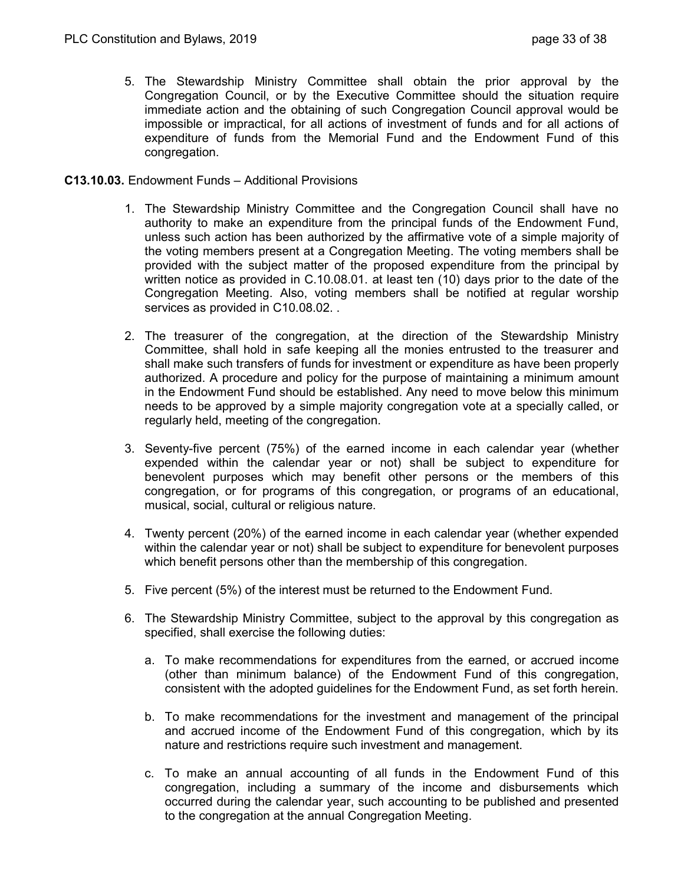5. The Stewardship Ministry Committee shall obtain the prior approval by the Congregation Council, or by the Executive Committee should the situation require immediate action and the obtaining of such Congregation Council approval would be impossible or impractical, for all actions of investment of funds and for all actions of expenditure of funds from the Memorial Fund and the Endowment Fund of this congregation.

## C13.10.03. Endowment Funds – Additional Provisions

- 1. The Stewardship Ministry Committee and the Congregation Council shall have no authority to make an expenditure from the principal funds of the Endowment Fund, unless such action has been authorized by the affirmative vote of a simple majority of the voting members present at a Congregation Meeting. The voting members shall be provided with the subject matter of the proposed expenditure from the principal by written notice as provided in C.10.08.01. at least ten (10) days prior to the date of the Congregation Meeting. Also, voting members shall be notified at regular worship services as provided in C10.08.02. .
- 2. The treasurer of the congregation, at the direction of the Stewardship Ministry Committee, shall hold in safe keeping all the monies entrusted to the treasurer and shall make such transfers of funds for investment or expenditure as have been properly authorized. A procedure and policy for the purpose of maintaining a minimum amount in the Endowment Fund should be established. Any need to move below this minimum needs to be approved by a simple majority congregation vote at a specially called, or regularly held, meeting of the congregation.
- 3. Seventy-five percent (75%) of the earned income in each calendar year (whether expended within the calendar year or not) shall be subject to expenditure for benevolent purposes which may benefit other persons or the members of this congregation, or for programs of this congregation, or programs of an educational, musical, social, cultural or religious nature.
- 4. Twenty percent (20%) of the earned income in each calendar year (whether expended within the calendar year or not) shall be subject to expenditure for benevolent purposes which benefit persons other than the membership of this congregation.
- 5. Five percent (5%) of the interest must be returned to the Endowment Fund.
- 6. The Stewardship Ministry Committee, subject to the approval by this congregation as specified, shall exercise the following duties:
	- a. To make recommendations for expenditures from the earned, or accrued income (other than minimum balance) of the Endowment Fund of this congregation, consistent with the adopted guidelines for the Endowment Fund, as set forth herein.
	- b. To make recommendations for the investment and management of the principal and accrued income of the Endowment Fund of this congregation, which by its nature and restrictions require such investment and management.
	- c. To make an annual accounting of all funds in the Endowment Fund of this congregation, including a summary of the income and disbursements which occurred during the calendar year, such accounting to be published and presented to the congregation at the annual Congregation Meeting.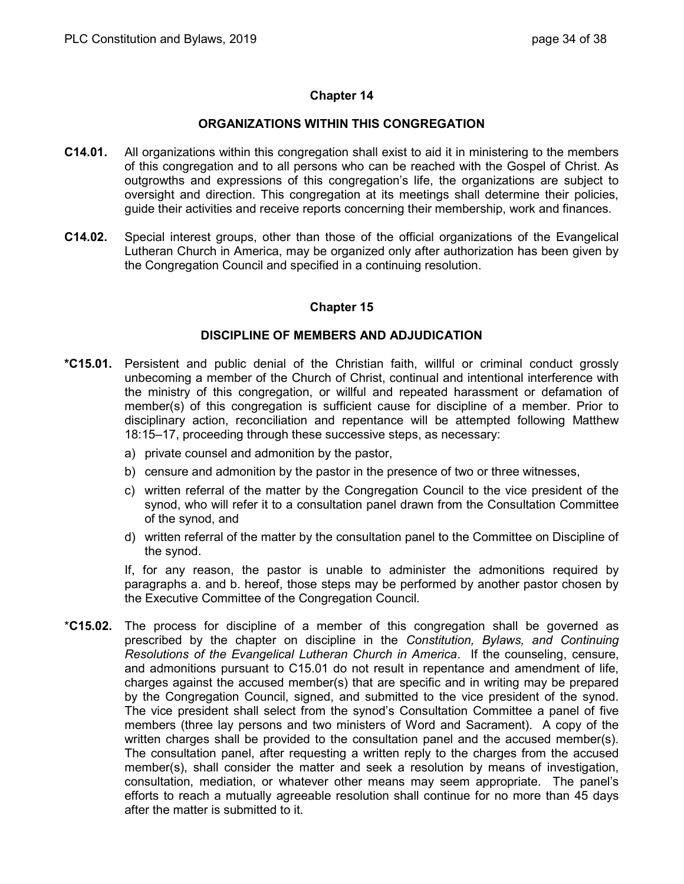#### ORGANIZATIONS WITHIN THIS CONGREGATION

- C14.01. All organizations within this congregation shall exist to aid it in ministering to the members of this congregation and to all persons who can be reached with the Gospel of Christ. As outgrowths and expressions of this congregation's life, the organizations are subject to oversight and direction. This congregation at its meetings shall determine their policies, guide their activities and receive reports concerning their membership, work and finances.
- C14.02. Special interest groups, other than those of the official organizations of the Evangelical Lutheran Church in America, may be organized only after authorization has been given by the Congregation Council and specified in a continuing resolution.

## Chapter 15

#### DISCIPLINE OF MEMBERS AND ADJUDICATION

- \*C15.01. Persistent and public denial of the Christian faith, willful or criminal conduct grossly unbecoming a member of the Church of Christ, continual and intentional interference with the ministry of this congregation, or willful and repeated harassment or defamation of member(s) of this congregation is sufficient cause for discipline of a member. Prior to disciplinary action, reconciliation and repentance will be attempted following Matthew 18:15–17, proceeding through these successive steps, as necessary:
	- a) private counsel and admonition by the pastor,
	- b) censure and admonition by the pastor in the presence of two or three witnesses,
	- c) written referral of the matter by the Congregation Council to the vice president of the synod, who will refer it to a consultation panel drawn from the Consultation Committee of the synod, and
	- d) written referral of the matter by the consultation panel to the Committee on Discipline of the synod.

If, for any reason, the pastor is unable to administer the admonitions required by paragraphs a. and b. hereof, those steps may be performed by another pastor chosen by the Executive Committee of the Congregation Council.

\*C15.02. The process for discipline of a member of this congregation shall be governed as prescribed by the chapter on discipline in the Constitution, Bylaws, and Continuing Resolutions of the Evangelical Lutheran Church in America. If the counseling, censure, and admonitions pursuant to C15.01 do not result in repentance and amendment of life, charges against the accused member(s) that are specific and in writing may be prepared by the Congregation Council, signed, and submitted to the vice president of the synod. The vice president shall select from the synod's Consultation Committee a panel of five members (three lay persons and two ministers of Word and Sacrament). A copy of the written charges shall be provided to the consultation panel and the accused member(s). The consultation panel, after requesting a written reply to the charges from the accused member(s), shall consider the matter and seek a resolution by means of investigation, consultation, mediation, or whatever other means may seem appropriate. The panel's efforts to reach a mutually agreeable resolution shall continue for no more than 45 days after the matter is submitted to it.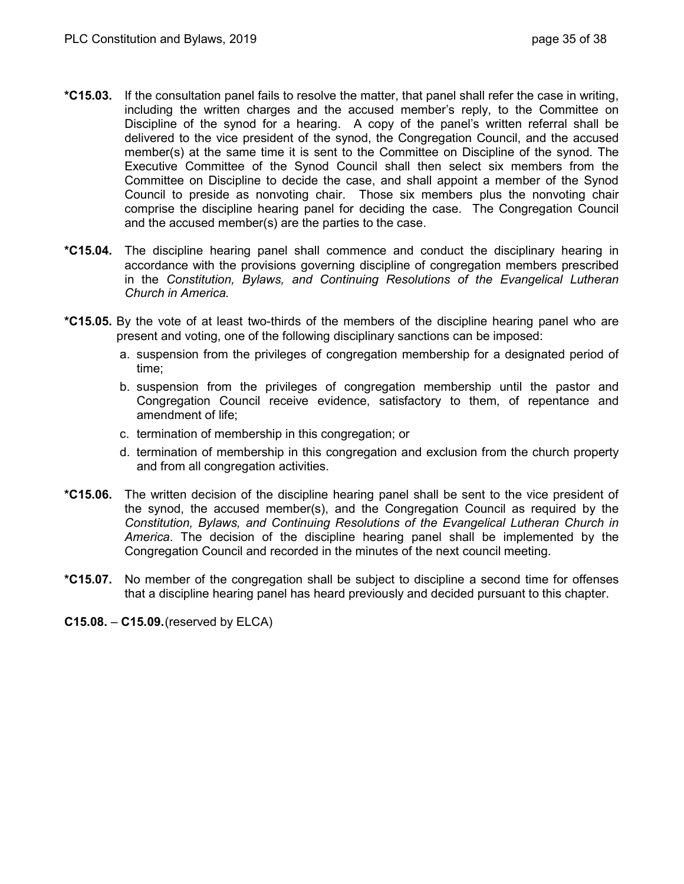- \*C15.03. If the consultation panel fails to resolve the matter, that panel shall refer the case in writing, including the written charges and the accused member's reply, to the Committee on Discipline of the synod for a hearing. A copy of the panel's written referral shall be delivered to the vice president of the synod, the Congregation Council, and the accused member(s) at the same time it is sent to the Committee on Discipline of the synod. The Executive Committee of the Synod Council shall then select six members from the Committee on Discipline to decide the case, and shall appoint a member of the Synod Council to preside as nonvoting chair. Those six members plus the nonvoting chair comprise the discipline hearing panel for deciding the case. The Congregation Council and the accused member(s) are the parties to the case.
- \*C15.04. The discipline hearing panel shall commence and conduct the disciplinary hearing in accordance with the provisions governing discipline of congregation members prescribed in the Constitution, Bylaws, and Continuing Resolutions of the Evangelical Lutheran Church in America.
- \*C15.05. By the vote of at least two-thirds of the members of the discipline hearing panel who are present and voting, one of the following disciplinary sanctions can be imposed:
	- a. suspension from the privileges of congregation membership for a designated period of time;
	- b. suspension from the privileges of congregation membership until the pastor and Congregation Council receive evidence, satisfactory to them, of repentance and amendment of life;
	- c. termination of membership in this congregation; or
	- d. termination of membership in this congregation and exclusion from the church property and from all congregation activities.
- \*C15.06. The written decision of the discipline hearing panel shall be sent to the vice president of the synod, the accused member(s), and the Congregation Council as required by the Constitution, Bylaws, and Continuing Resolutions of the Evangelical Lutheran Church in America. The decision of the discipline hearing panel shall be implemented by the Congregation Council and recorded in the minutes of the next council meeting.
- \*C15.07. No member of the congregation shall be subject to discipline a second time for offenses that a discipline hearing panel has heard previously and decided pursuant to this chapter.

 $C15.08. - C15.09$ . (reserved by ELCA)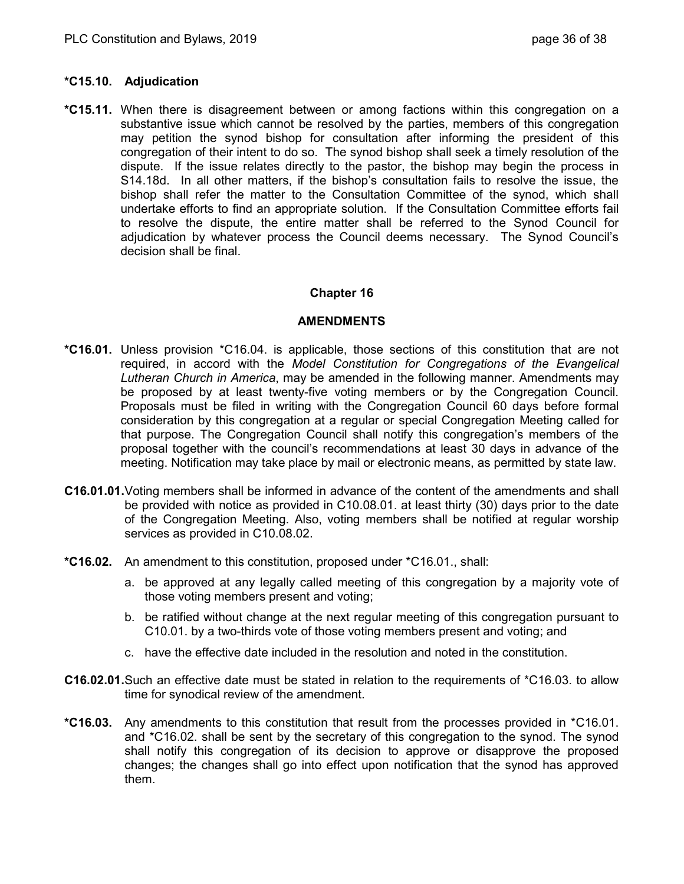#### \*C15.10. Adjudication

\*C15.11. When there is disagreement between or among factions within this congregation on a substantive issue which cannot be resolved by the parties, members of this congregation may petition the synod bishop for consultation after informing the president of this congregation of their intent to do so. The synod bishop shall seek a timely resolution of the dispute. If the issue relates directly to the pastor, the bishop may begin the process in S14.18d. In all other matters, if the bishop's consultation fails to resolve the issue, the bishop shall refer the matter to the Consultation Committee of the synod, which shall undertake efforts to find an appropriate solution. If the Consultation Committee efforts fail to resolve the dispute, the entire matter shall be referred to the Synod Council for adjudication by whatever process the Council deems necessary. The Synod Council's decision shall be final.

### Chapter 16

#### **AMENDMENTS**

- \*C16.01. Unless provision \*C16.04. is applicable, those sections of this constitution that are not required, in accord with the Model Constitution for Congregations of the Evangelical Lutheran Church in America, may be amended in the following manner. Amendments may be proposed by at least twenty-five voting members or by the Congregation Council. Proposals must be filed in writing with the Congregation Council 60 days before formal consideration by this congregation at a regular or special Congregation Meeting called for that purpose. The Congregation Council shall notify this congregation's members of the proposal together with the council's recommendations at least 30 days in advance of the meeting. Notification may take place by mail or electronic means, as permitted by state law.
- C16.01.01. Voting members shall be informed in advance of the content of the amendments and shall be provided with notice as provided in C10.08.01. at least thirty (30) days prior to the date of the Congregation Meeting. Also, voting members shall be notified at regular worship services as provided in C10.08.02.
- \*C16.02. An amendment to this constitution, proposed under \*C16.01., shall:
	- a. be approved at any legally called meeting of this congregation by a majority vote of those voting members present and voting;
	- b. be ratified without change at the next regular meeting of this congregation pursuant to C10.01. by a two-thirds vote of those voting members present and voting; and
	- c. have the effective date included in the resolution and noted in the constitution.
- C16.02.01. Such an effective date must be stated in relation to the requirements of \*C16.03. to allow time for synodical review of the amendment.
- \*C16.03. Any amendments to this constitution that result from the processes provided in \*C16.01. and \*C16.02. shall be sent by the secretary of this congregation to the synod. The synod shall notify this congregation of its decision to approve or disapprove the proposed changes; the changes shall go into effect upon notification that the synod has approved them.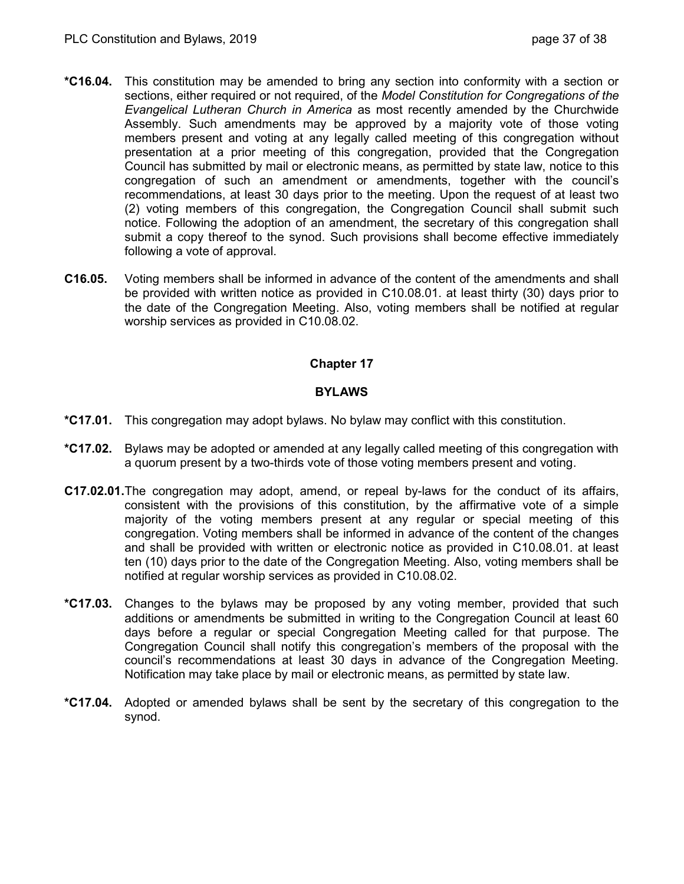- \*C16.04. This constitution may be amended to bring any section into conformity with a section or sections, either required or not required, of the Model Constitution for Congregations of the Evangelical Lutheran Church in America as most recently amended by the Churchwide Assembly. Such amendments may be approved by a majority vote of those voting members present and voting at any legally called meeting of this congregation without presentation at a prior meeting of this congregation, provided that the Congregation Council has submitted by mail or electronic means, as permitted by state law, notice to this congregation of such an amendment or amendments, together with the council's recommendations, at least 30 days prior to the meeting. Upon the request of at least two (2) voting members of this congregation, the Congregation Council shall submit such notice. Following the adoption of an amendment, the secretary of this congregation shall submit a copy thereof to the synod. Such provisions shall become effective immediately following a vote of approval.
- C16.05. Voting members shall be informed in advance of the content of the amendments and shall be provided with written notice as provided in C10.08.01. at least thirty (30) days prior to the date of the Congregation Meeting. Also, voting members shall be notified at regular worship services as provided in C10.08.02.

## **BYLAWS**

- \*C17.01. This congregation may adopt bylaws. No bylaw may conflict with this constitution.
- \*C17.02. Bylaws may be adopted or amended at any legally called meeting of this congregation with a quorum present by a two-thirds vote of those voting members present and voting.
- C17.02.01. The congregation may adopt, amend, or repeal by-laws for the conduct of its affairs, consistent with the provisions of this constitution, by the affirmative vote of a simple majority of the voting members present at any regular or special meeting of this congregation. Voting members shall be informed in advance of the content of the changes and shall be provided with written or electronic notice as provided in C10.08.01. at least ten (10) days prior to the date of the Congregation Meeting. Also, voting members shall be notified at regular worship services as provided in C10.08.02.
- \*C17.03. Changes to the bylaws may be proposed by any voting member, provided that such additions or amendments be submitted in writing to the Congregation Council at least 60 days before a regular or special Congregation Meeting called for that purpose. The Congregation Council shall notify this congregation's members of the proposal with the council's recommendations at least 30 days in advance of the Congregation Meeting. Notification may take place by mail or electronic means, as permitted by state law.
- \*C17.04. Adopted or amended bylaws shall be sent by the secretary of this congregation to the synod.